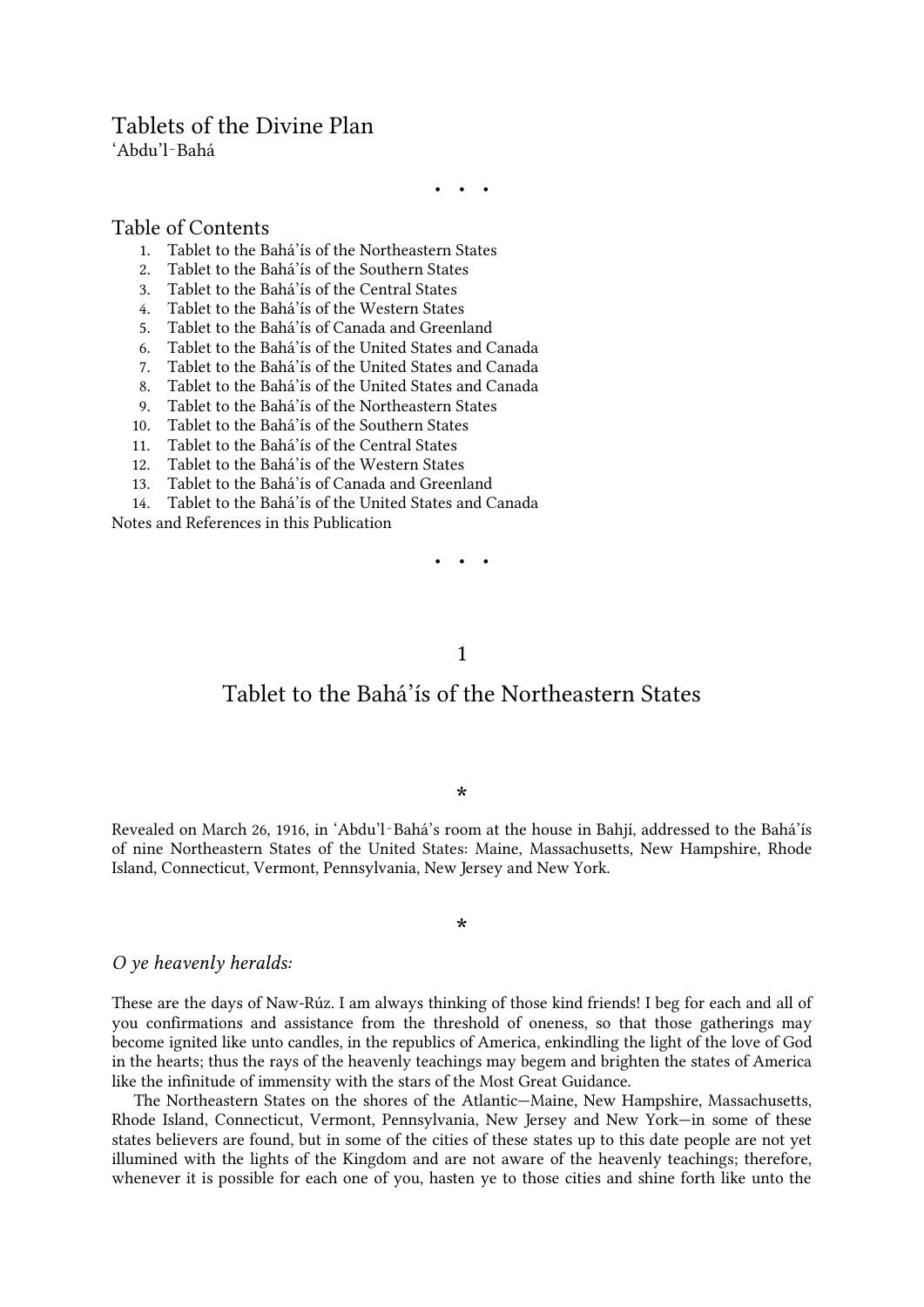### Tablets of the Divine Plan

'Abdu'l‑Bahá

• • •

#### Table of Contents

- 1. [Tablet to the Bahá'ís of the Northeastern States](#page-0-0)<br>2. Tablet to the Bahá'ís of the Southern States
- 2. [Tablet to the Bahá'ís of the Southern States](#page-1-0)
- 3. [Tablet to the Bahá'ís of the Central States](#page-2-0)
- 4. [Tablet to the Bahá'ís of the Western States](#page-3-0)
- 5. [Tablet to the Bahá'ís of Canada and Greenland](#page-4-0)
- 6. [Tablet to the Bahá'ís of the United States and Canada](#page-5-0)
- 7. [Tablet to the Bahá'ís of the United States and Canada](#page-7-0)
- 8. [Tablet to the Bahá'ís of the United States and Canada](#page-10-0)
- 9. T[ablet to the Bahá'ís of the Northeastern States](#page-13-0)
- 10. [Tablet to the Bahá'ís of the Southern States](#page-15-0)
- 11. [Tablet to the Bahá'ís of the Central States](#page-17-0)
- 12. [Tablet to the Bahá'ís o](#page-19-0)f the Western States
- 13. [Tablet to the Bahá'ís of Canada and Greenland](#page-20-0)
- 14. [Tablet to the Bahá'ís of the United States and Canada](#page-22-0)

<span id="page-0-0"></span>[Notes and References in this Publication](#page-25-0)

• • •

#### 1

## Tablet to the Bahá'ís of the Northeastern States

\*

Revealed on March 26, 1916, in 'Abdu'l‑Bahá's room at the house in Bahjí, addressed to the Bahá'ís of nine Northeastern States of the United States: Maine, Massachusetts, New Hampshire, Rhode Island, Connecticut, Vermont, Pennsylvania, New Jersey and New York.

\*

#### *O ye heavenly heralds:*

These are the days of Naw-Rúz. I am always thinking of those kind friends! I beg for each and all of you confirmations and assistance from the threshold of oneness, so that those gatherings may become ignited like unto candles, in the republics of America, enkindling the light of the love of God in the hearts; thus the rays of the heavenly teachings may begem and brighten the states of America like the infinitude of immensity with the stars of the Most Great Guidance.

<span id="page-0-1"></span>The Northeastern States on the shores of the Atlantic—Maine, New Hampshire, Massachusetts, Rhode Island, Connecticut, Vermont, Pennsylvania, New Jersey and New York—in some of these states believers are found, but in some of the cities of these states up to this date people are not yet illumined with the lights of the Kingdom and are not aware of the heavenly teachings; therefore, whenever it is possible for each one of you, hasten ye to those cities and shine forth like unto the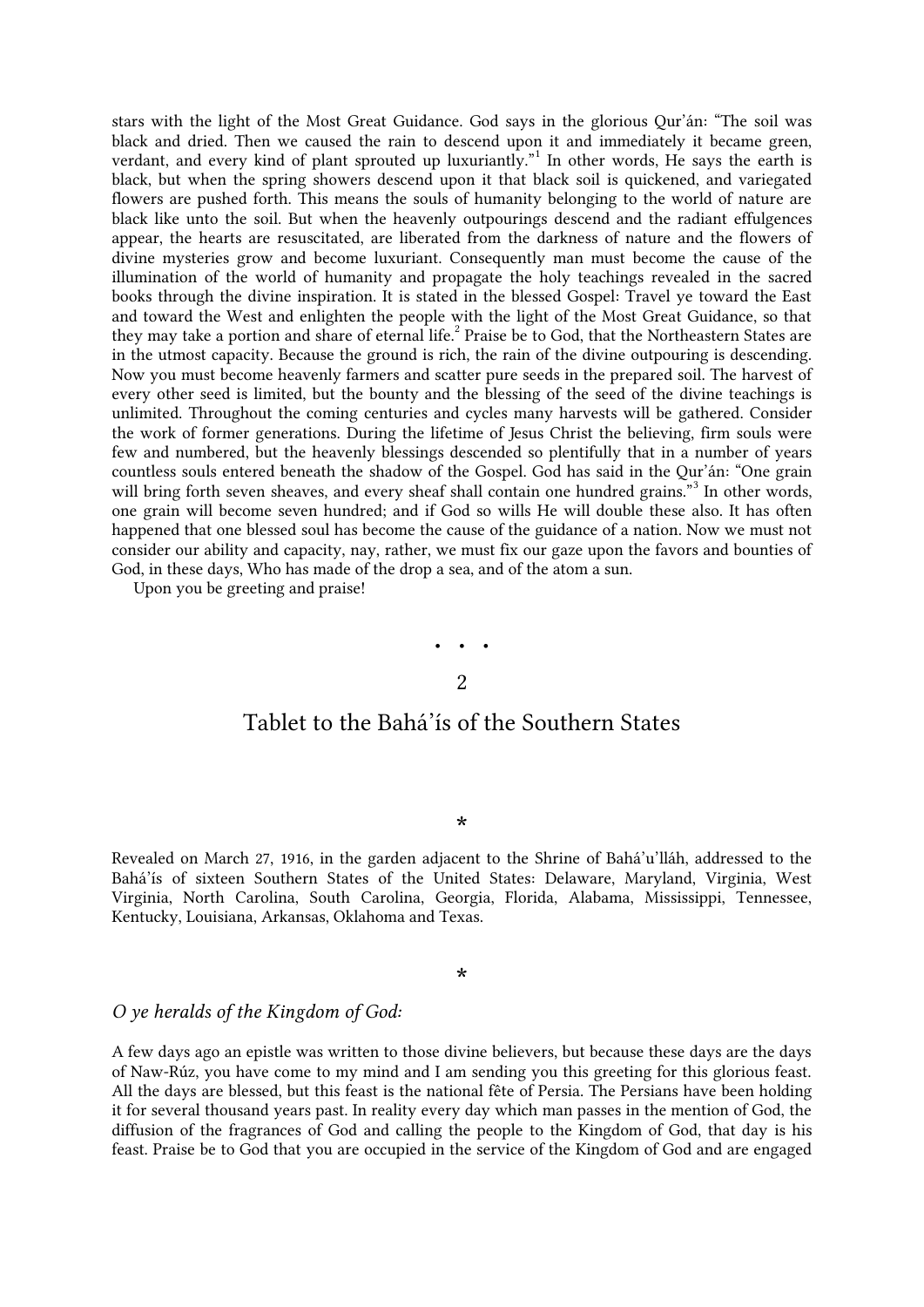stars with the light of the Most Great Guidance. God says in the glorious Qur'án: "The soil was black and dried. Then we caused the rain to descend upon it and immediately it became green, verdant, and every kind of plant sprouted up luxuriantly.["](#page-25-1)<sup>1</sup> In other words, He says the earth is black, but when the spring showers descend upon it that black soil is quickened, and variegated flowers are pushed forth. This means the souls of humanity belonging to the world of nature are black like unto the soil. But when the heavenly outpourings descend and the radiant effulgences appear, the hearts are resuscitated, are liberated from the darkness of nature and the flowers of divine mysteries grow and become luxuriant. Consequently man must become the cause of the illumination of the world of humanity and propagate the holy teachings revealed in the sacred books through the divine inspiration. It is stated in the blessed Gospel: Travel ye toward the East and toward the West and enlighten the people with the light of the Most Great Guidance, so that they may take a portion and share of eternal life[.](#page-25-2)<sup>2</sup> Praise be to God, that the Northeastern States are in the utmost capacity. Because the ground is rich, the rain of the divine outpouring is descending. Now you must become heavenly farmers and scatter pure seeds in the prepared soil. The harvest of every other seed is limited, but the bounty and the blessing of the seed of the divine teachings is unlimited. Throughout the coming centuries and cycles many harvests will be gathered. Consider the work of former generations. During the lifetime of Jesus Christ the believing, firm souls were few and numbered, but the heavenly blessings descended so plentifully that in a number of years countless souls entered beneath the shadow of the Gospel. God has said in the Qur'án: "One grain will bring forth seven sheaves, and every sheaf shall contain one hundred grains.["](#page-25-3)<sup>3</sup> In other words, one grain will become seven hundred; and if God so wills He will double these also. It has often happened that one blessed soul has become the cause of the guidance of a nation. Now we must not consider our ability and capacity, nay, rather, we must fix our gaze upon the favors and bounties of God, in these days, Who has made of the drop a sea, and of the atom a sun.

<span id="page-1-0"></span>Upon you be greeting and praise!

# • • • 2

## Tablet to the Bahá'ís of the Southern States

#### \*

Revealed on March 27, 1916, in the garden adjacent to the Shrine of Bahá'u'lláh, addressed to the Bahá'ís of sixteen Southern States of the United States: Delaware, Maryland, Virginia, West Virginia, North Carolina, South Carolina, Georgia, Florida, Alabama, Mississippi, Tennessee, Kentucky, Louisiana, Arkansas, Oklahoma and Texas.

#### \*

#### *O ye heralds of the Kingdom of God:*

A few days ago an epistle was written to those divine believers, but because these days are the days of Naw-Rúz, you have come to my mind and I am sending you this greeting for this glorious feast. All the days are blessed, but this feast is the national fête of Persia. The Persians have been holding it for several thousand years past. In reality every day which man passes in the mention of God, the diffusion of the fragrances of God and calling the people to the Kingdom of God, that day is his feast. Praise be to God that you are occupied in the service of the Kingdom of God and are engaged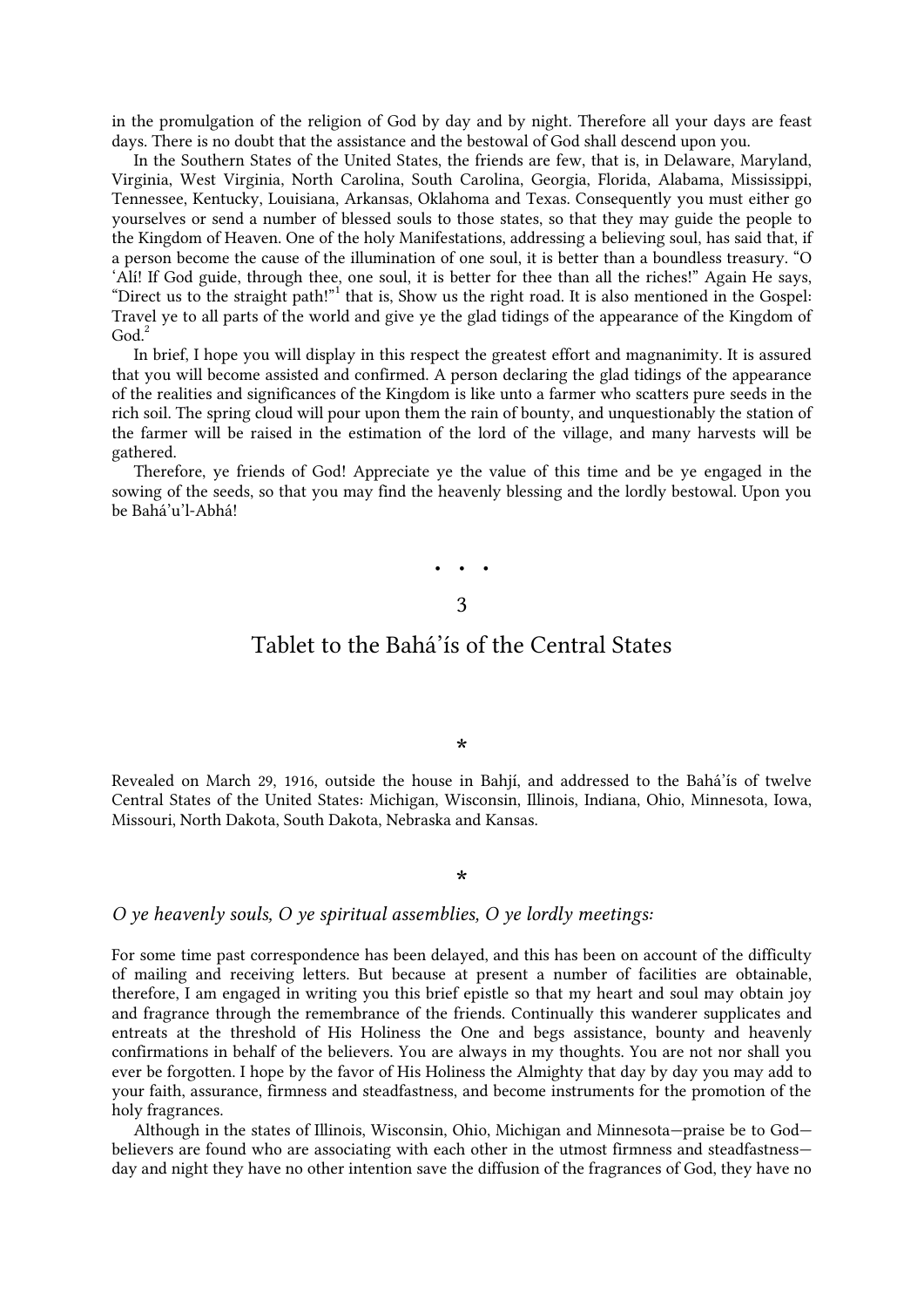in the promulgation of the religion of God by day and by night. Therefore all your days are feast days. There is no doubt that the assistance and the bestowal of God shall descend upon you.

<span id="page-2-1"></span>In the Southern States of the United States, the friends are few, that is, in Delaware, Maryland, Virginia, West Virginia, North Carolina, South Carolina, Georgia, Florida, Alabama, Mississippi, Tennessee, Kentucky, Louisiana, Arkansas, Oklahoma and Texas. Consequently you must either go yourselves or send a number of blessed souls to those states, so that they may guide the people to the Kingdom of Heaven. One of the holy Manifestations, addressing a believing soul, has said that, if a person become the cause of the illumination of one soul, it is better than a boundless treasury. "O 'Alí! If God guide, through thee, one soul, it is better for thee than all the riches!" Again He says, ["](#page-25-4)Direct us to the straight path!"<sup>1</sup> that is, Show us the right road. It is also mentioned in the Gospel: Travel ye to all parts of the world and give ye the glad tidings of the appearance of the Kingdom of  $\mathrm{God.}^2$  $\mathrm{God.}^2$  $\mathrm{God.}^2$ 

In brief, I hope you will display in this respect the greatest effort and magnanimity. It is assured that you will become assisted and confirmed. A person declaring the glad tidings of the appearance of the realities and significances of the Kingdom is like unto a farmer who scatters pure seeds in the rich soil. The spring cloud will pour upon them the rain of bounty, and unquestionably the station of the farmer will be raised in the estimation of the lord of the village, and many harvests will be gathered.

<span id="page-2-0"></span>Therefore, ye friends of God! Appreciate ye the value of this time and be ye engaged in the sowing of the seeds, so that you may find the heavenly blessing and the lordly bestowal. Upon you be Bahá'u'l-Abhá!

> • • • 3

### Tablet to the Bahá'ís of the Central States

#### \*

Revealed on March 29, 1916, outside the house in Bahjí, and addressed to the Bahá'ís of twelve Central States of the United States: Michigan, Wisconsin, Illinois, Indiana, Ohio, Minnesota, Iowa, Missouri, North Dakota, South Dakota, Nebraska and Kansas.

#### \*

#### *O ye heavenly souls, O ye spiritual assemblies, O ye lordly meetings:*

For some time past correspondence has been delayed, and this has been on account of the difficulty of mailing and receiving letters. But because at present a number of facilities are obtainable, therefore, I am engaged in writing you this brief epistle so that my heart and soul may obtain joy and fragrance through the remembrance of the friends. Continually this wanderer supplicates and entreats at the threshold of His Holiness the One and begs assistance, bounty and heavenly confirmations in behalf of the believers. You are always in my thoughts. You are not nor shall you ever be forgotten. I hope by the favor of His Holiness the Almighty that day by day you may add to your faith, assurance, firmness and steadfastness, and become instruments for the promotion of the holy fragrances.

<span id="page-2-2"></span>Although in the states of Illinois, Wisconsin, Ohio, Michigan and Minnesota—praise be to God believers are found who are associating with each other in the utmost firmness and steadfastness day and night they have no other intention save the diffusion of the fragrances of God, they have no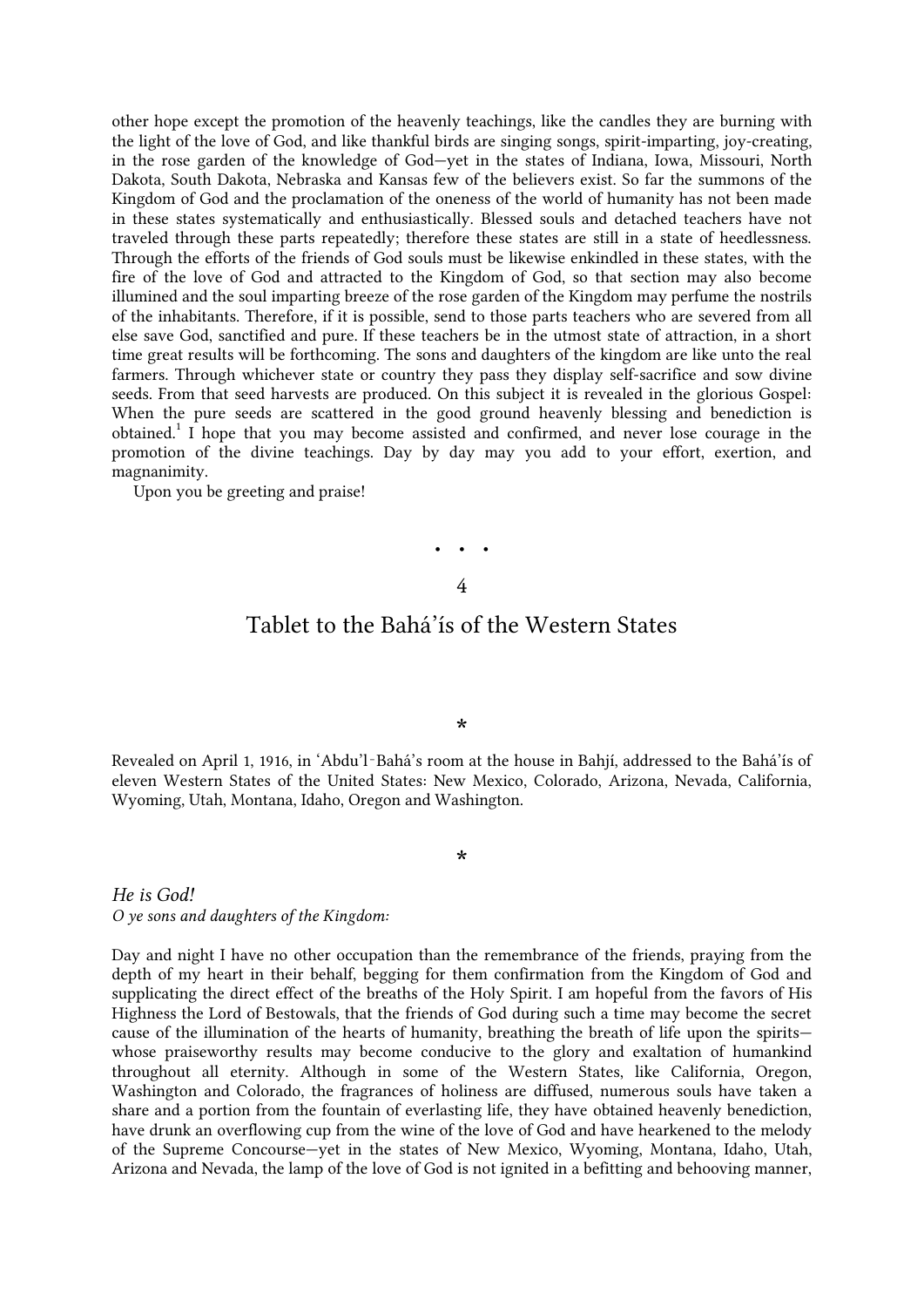other hope except the promotion of the heavenly teachings, like the candles they are burning with the light of the love of God, and like thankful birds are singing songs, spirit-imparting, joy-creating, in the rose garden of the knowledge of God—yet in the states of Indiana, Iowa, Missouri, North Dakota, South Dakota, Nebraska and Kansas few of the believers exist. So far the summons of the Kingdom of God and the proclamation of the oneness of the world of humanity has not been made in these states systematically and enthusiastically. Blessed souls and detached teachers have not traveled through these parts repeatedly; therefore these states are still in a state of heedlessness. Through the efforts of the friends of God souls must be likewise enkindled in these states, with the fire of the love of God and attracted to the Kingdom of God, so that section may also become illumined and the soul imparting breeze of the rose garden of the Kingdom may perfume the nostrils of the inhabitants. Therefore, if it is possible, send to those parts teachers who are severed from all else save God, sanctified and pure. If these teachers be in the utmost state of attraction, in a short time great results will be forthcoming. The sons and daughters of the kingdom are like unto the real farmers. Through whichever state or country they pass they display self-sacrifice and sow divine seeds. From that seed harvests are produced. On this subject it is revealed in the glorious Gospel: When the pure seeds are scattered in the good ground heavenly blessing and benediction is obtained[.](#page-25-6)<sup>1</sup> I hope that you may become assisted and confirmed, and never lose courage in the promotion of the divine teachings. Day by day may you add to your effort, exertion, and magnanimity.

<span id="page-3-0"></span>Upon you be greeting and praise!

# • • • 4

### Tablet to the Bahá'ís of the Western States

\*

Revealed on April 1, 1916, in 'Abdu'l-Bahá's room at the house in Bahií, addressed to the Bahá'ís of eleven Western States of the United States: New Mexico, Colorado, Arizona, Nevada, California, Wyoming, Utah, Montana, Idaho, Oregon and Washington.

\*

*He is God! O ye sons and daughters of the Kingdom:*

Day and night I have no other occupation than the remembrance of the friends, praying from the depth of my heart in their behalf, begging for them confirmation from the Kingdom of God and supplicating the direct effect of the breaths of the Holy Spirit. I am hopeful from the favors of His Highness the Lord of Bestowals, that the friends of God during such a time may become the secret cause of the illumination of the hearts of humanity, breathing the breath of life upon the spirits whose praiseworthy results may become conducive to the glory and exaltation of humankind throughout all eternity. Although in some of the Western States, like California, Oregon, Washington and Colorado, the fragrances of holiness are diffused, numerous souls have taken a share and a portion from the fountain of everlasting life, they have obtained heavenly benediction, have drunk an overflowing cup from the wine of the love of God and have hearkened to the melody of the Supreme Concourse—yet in the states of New Mexico, Wyoming, Montana, Idaho, Utah, Arizona and Nevada, the lamp of the love of God is not ignited in a befitting and behooving manner,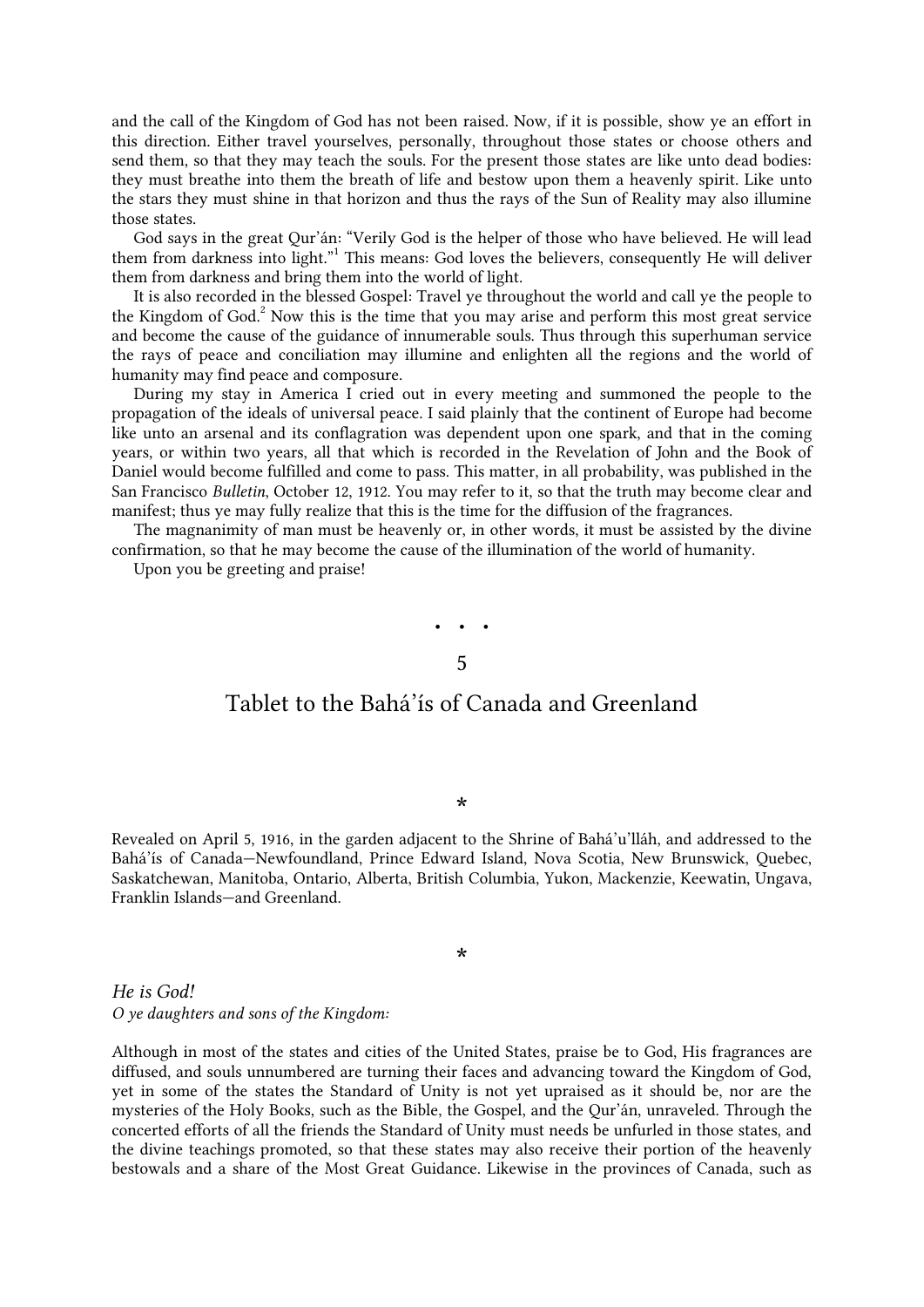and the call of the Kingdom of God has not been raised. Now, if it is possible, show ye an effort in this direction. Either travel yourselves, personally, throughout those states or choose others and send them, so that they may teach the souls. For the present those states are like unto dead bodies: they must breathe into them the breath of life and bestow upon them a heavenly spirit. Like unto the stars they must shine in that horizon and thus the rays of the Sun of Reality may also illumine those states.

<span id="page-4-1"></span>God says in the great Qur'án: "Verily God is the helper of those who have believed. He will lead them from darkness into light.["](#page-25-7)<sup>1</sup> This means: God loves the believers, consequently He will deliver them from darkness and bring them into the world of light.

<span id="page-4-2"></span>It is also recorded in the blessed Gospel: Travel ye throughout the world and call ye the people to the Kingdom of Go[d.](#page-25-8)<sup>2</sup> Now this is the time that you may arise and perform this most great service and become the cause of the guidance of innumerable souls. Thus through this superhuman service the rays of peace and conciliation may illumine and enlighten all the regions and the world of humanity may find peace and composure.

During my stay in America I cried out in every meeting and summoned the people to the propagation of the ideals of universal peace. I said plainly that the continent of Europe had become like unto an arsenal and its conflagration was dependent upon one spark, and that in the coming years, or within two years, all that which is recorded in the Revelation of John and the Book of Daniel would become fulfilled and come to pass. This matter, in all probability, was published in the San Francisco *Bulletin*, October 12, 1912. You may refer to it, so that the truth may become clear and manifest; thus ye may fully realize that this is the time for the diffusion of the fragrances.

The magnanimity of man must be heavenly or, in other words, it must be assisted by the divine confirmation, so that he may become the cause of the illumination of the world of humanity.

<span id="page-4-0"></span>Upon you be greeting and praise!

## • • •

#### 5

## Tablet to the Bahá'ís of Canada and Greenland

#### \*

Revealed on April 5, 1916, in the garden adjacent to the Shrine of Bahá'u'lláh, and addressed to the Bahá'ís of Canada—Newfoundland, Prince Edward Island, Nova Scotia, New Brunswick, Quebec, Saskatchewan, Manitoba, Ontario, Alberta, British Columbia, Yukon, Mackenzie, Keewatin, Ungava, Franklin Islands—and Greenland.

#### \*

*He is God! O ye daughters and sons of the Kingdom:*

<span id="page-4-3"></span>Although in most of the states and cities of the United States, praise be to God, His fragrances are diffused, and souls unnumbered are turning their faces and advancing toward the Kingdom of God, yet in some of the states the Standard of Unity is not yet upraised as it should be, nor are the mysteries of the Holy Books, such as the Bible, the Gospel, and the Qur'án, unraveled. Through the concerted efforts of all the friends the Standard of Unity must needs be unfurled in those states, and the divine teachings promoted, so that these states may also receive their portion of the heavenly bestowals and a share of the Most Great Guidance. Likewise in the provinces of Canada, such as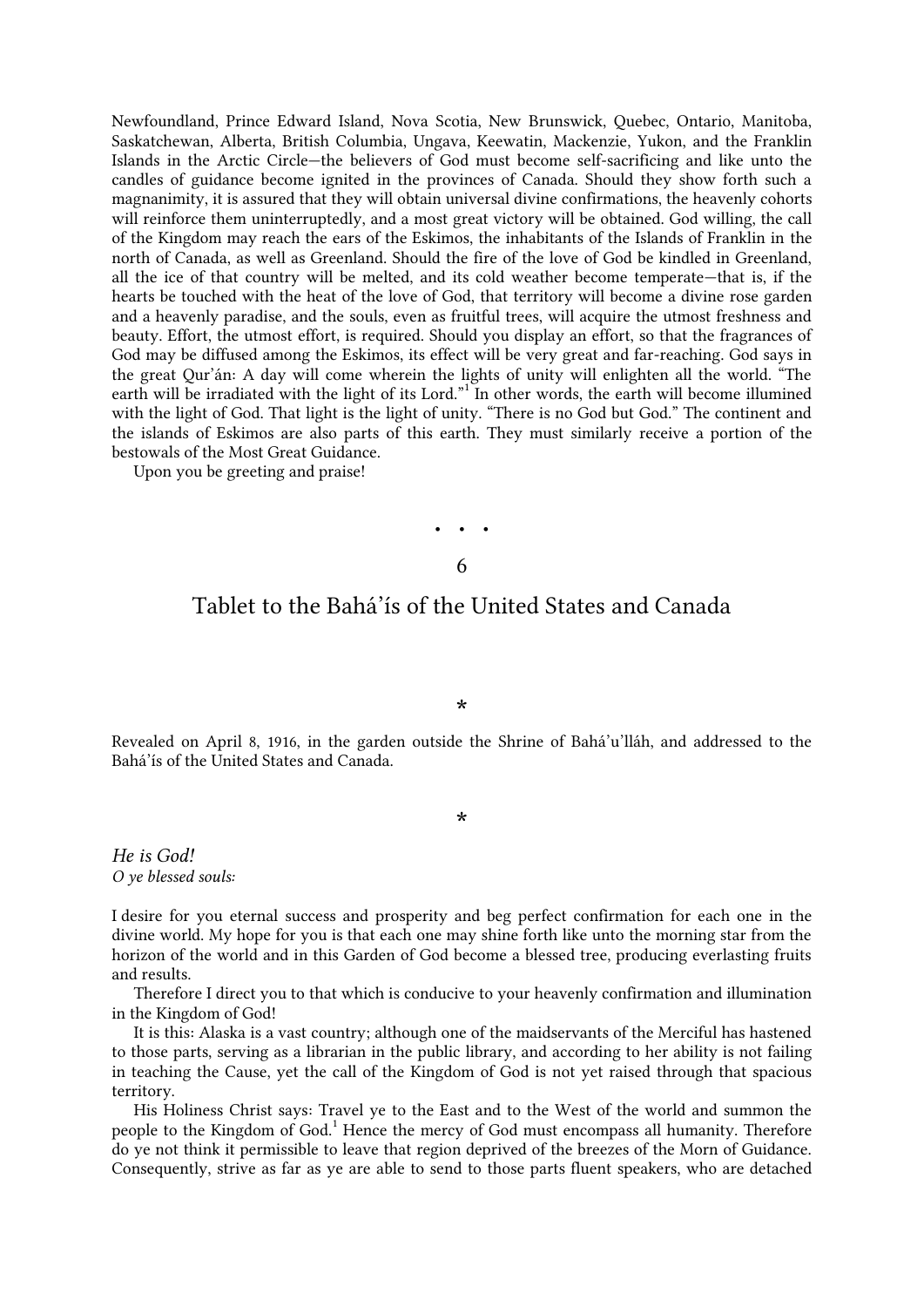Newfoundland, Prince Edward Island, Nova Scotia, New Brunswick, Quebec, Ontario, Manitoba, Saskatchewan, Alberta, British Columbia, Ungava, Keewatin, Mackenzie, Yukon, and the Franklin Islands in the Arctic Circle—the believers of God must become self-sacrificing and like unto the candles of guidance become ignited in the provinces of Canada. Should they show forth such a magnanimity, it is assured that they will obtain universal divine confirmations, the heavenly cohorts will reinforce them uninterruptedly, and a most great victory will be obtained. God willing, the call of the Kingdom may reach the ears of the Eskimos, the inhabitants of the Islands of Franklin in the north of Canada, as well as Greenland. Should the fire of the love of God be kindled in Greenland, all the ice of that country will be melted, and its cold weather become temperate—that is, if the hearts be touched with the heat of the love of God, that territory will become a divine rose garden and a heavenly paradise, and the souls, even as fruitful trees, will acquire the utmost freshness and beauty. Effort, the utmost effort, is required. Should you display an effort, so that the fragrances of God may be diffused among the Eskimos, its effect will be very great and far-reaching. God says in the great Qur'án: A day will come wherein the lights of unity will enlighten all the world. "The earth will be irradiated with the light of its Lord.["](#page-25-9)<sup>1</sup> In other words, the earth will become illumined with the light of God. That light is the light of unity. "There is no God but God." The continent and the islands of Eskimos are also parts of this earth. They must similarly receive a portion of the bestowals of the Most Great Guidance.

<span id="page-5-0"></span>Upon you be greeting and praise!

# • • • 6

## Tablet to the Bahá'ís of the United States and Canada

\*

Revealed on April 8, 1916, in the garden outside the Shrine of Bahá'u'lláh, and addressed to the Bahá'ís of the United States and Canada.

\*

*He is God! O ye blessed souls:*

I desire for you eternal success and prosperity and beg perfect confirmation for each one in the divine world. My hope for you is that each one may shine forth like unto the morning star from the horizon of the world and in this Garden of God become a blessed tree, producing everlasting fruits and results.

Therefore I direct you to that which is conducive to your heavenly confirmation and illumination in the Kingdom of God!

It is this: Alaska is a vast country; although one of the maidservants of the Merciful has hastened to those parts, serving as a librarian in the public library, and according to her ability is not failing in teaching the Cause, yet the call of the Kingdom of God is not yet raised through that spacious territory.

<span id="page-5-1"></span>His Holiness Christ says: Travel ye to the East and to the West of the world and summon the people to the Kingdom of God[.](#page-25-10)<sup>1</sup> Hence the mercy of God must encompass all humanity. Therefore do ye not think it permissible to leave that region deprived of the breezes of the Morn of Guidance. Consequently, strive as far as ye are able to send to those parts fluent speakers, who are detached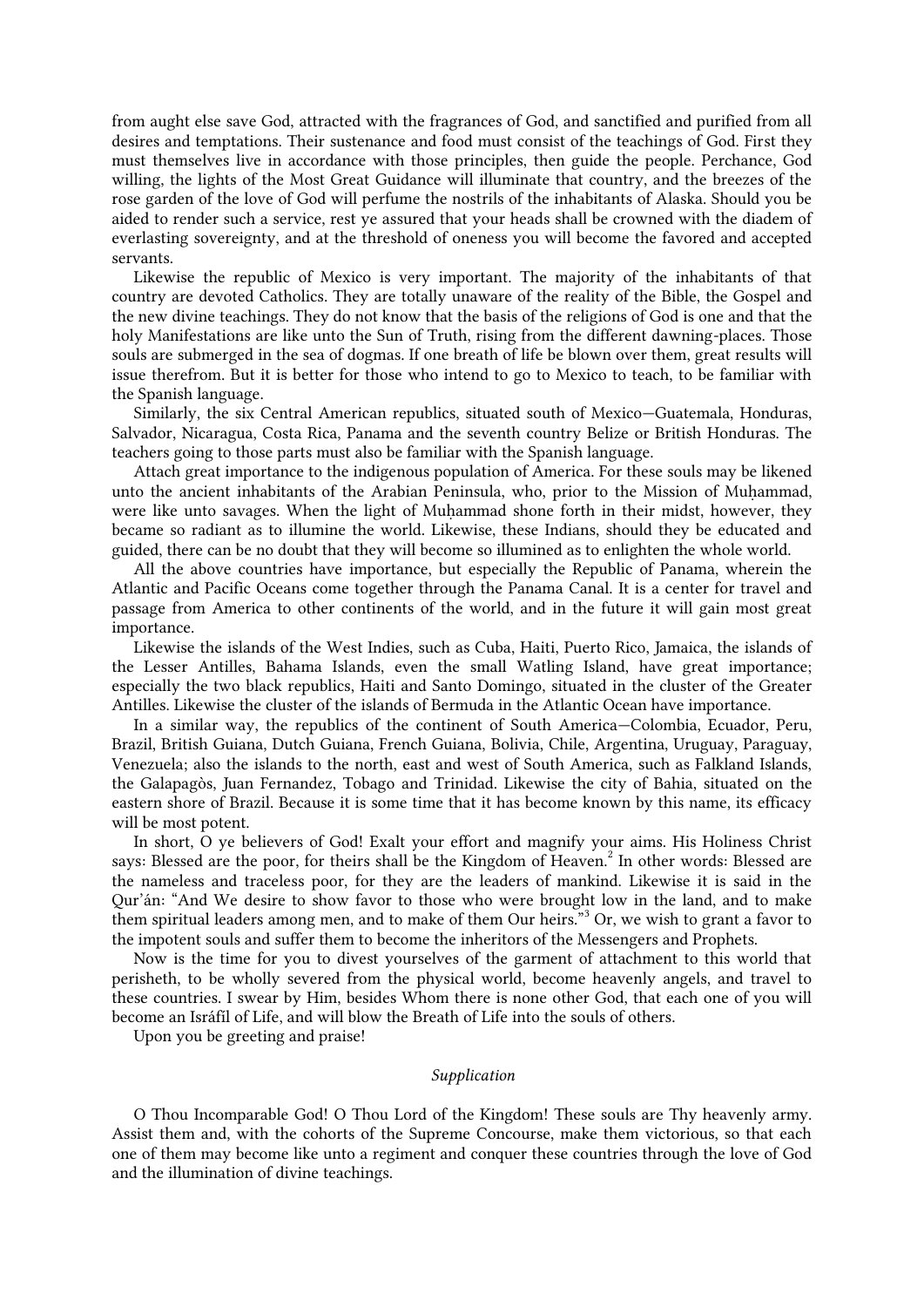from aught else save God, attracted with the fragrances of God, and sanctified and purified from all desires and temptations. Their sustenance and food must consist of the teachings of God. First they must themselves live in accordance with those principles, then guide the people. Perchance, God willing, the lights of the Most Great Guidance will illuminate that country, and the breezes of the rose garden of the love of God will perfume the nostrils of the inhabitants of Alaska. Should you be aided to render such a service, rest ye assured that your heads shall be crowned with the diadem of everlasting sovereignty, and at the threshold of oneness you will become the favored and accepted servants.

Likewise the republic of Mexico is very important. The majority of the inhabitants of that country are devoted Catholics. They are totally unaware of the reality of the Bible, the Gospel and the new divine teachings. They do not know that the basis of the religions of God is one and that the holy Manifestations are like unto the Sun of Truth, rising from the different dawning-places. Those souls are submerged in the sea of dogmas. If one breath of life be blown over them, great results will issue therefrom. But it is better for those who intend to go to Mexico to teach, to be familiar with the Spanish language.

Similarly, the six Central American republics, situated south of Mexico—Guatemala, Honduras, Salvador, Nicaragua, Costa Rica, Panama and the seventh country Belize or British Honduras. The teachers going to those parts must also be familiar with the Spanish language.

Attach great importance to the indigenous population of America. For these souls may be likened unto the ancient inhabitants of the Arabian Peninsula, who, prior to the Mission of Muhammad, were like unto savages. When the light of Muḥammad shone forth in their midst, however, they became so radiant as to illumine the world. Likewise, these Indians, should they be educated and guided, there can be no doubt that they will become so illumined as to enlighten the whole world.

All the above countries have importance, but especially the Republic of Panama, wherein the Atlantic and Pacific Oceans come together through the Panama Canal. It is a center for travel and passage from America to other continents of the world, and in the future it will gain most great importance.

Likewise the islands of the West Indies, such as Cuba, Haiti, Puerto Rico, Jamaica, the islands of the Lesser Antilles, Bahama Islands, even the small Watling Island, have great importance; especially the two black republics, Haiti and Santo Domingo, situated in the cluster of the Greater Antilles. Likewise the cluster of the islands of Bermuda in the Atlantic Ocean have importance.

In a similar way, the republics of the continent of South America—Colombia, Ecuador, Peru, Brazil, British Guiana, Dutch Guiana, French Guiana, Bolivia, Chile, Argentina, Uruguay, Paraguay, Venezuela; also the islands to the north, east and west of South America, such as Falkland Islands, the Galapagòs, Juan Fernandez, Tobago and Trinidad. Likewise the city of Bahia, situated on the eastern shore of Brazil. Because it is some time that it has become known by this name, its efficacy will be most potent.

<span id="page-6-0"></span>In short, O ye believers of God! Exalt your effort and magnify your aims. His Holiness Christ says: Blessed are the poor, for theirs shall be the Kingdom of Heave[n.](#page-25-11)<sup>2</sup> In other words: Blessed are the nameless and traceless poor, for they are the leaders of mankind. Likewise it is said in the Qur'án: "And We desire to show favor to those who were brought low in the land, and to make them spiritual leaders among men, and to make of them Our heirs.["](#page-25-12)<sup>3</sup> Or, we wish to grant a favor to the impotent souls and suffer them to become the inheritors of the Messengers and Prophets.

Now is the time for you to divest yourselves of the garment of attachment to this world that perisheth, to be wholly severed from the physical world, become heavenly angels, and travel to these countries. I swear by Him, besides Whom there is none other God, that each one of you will become an Isráfíl of Life, and will blow the Breath of Life into the souls of others.

Upon you be greeting and praise!

#### *Supplication*

O Thou Incomparable God! O Thou Lord of the Kingdom! These souls are Thy heavenly army. Assist them and, with the cohorts of the Supreme Concourse, make them victorious, so that each one of them may become like unto a regiment and conquer these countries through the love of God and the illumination of divine teachings.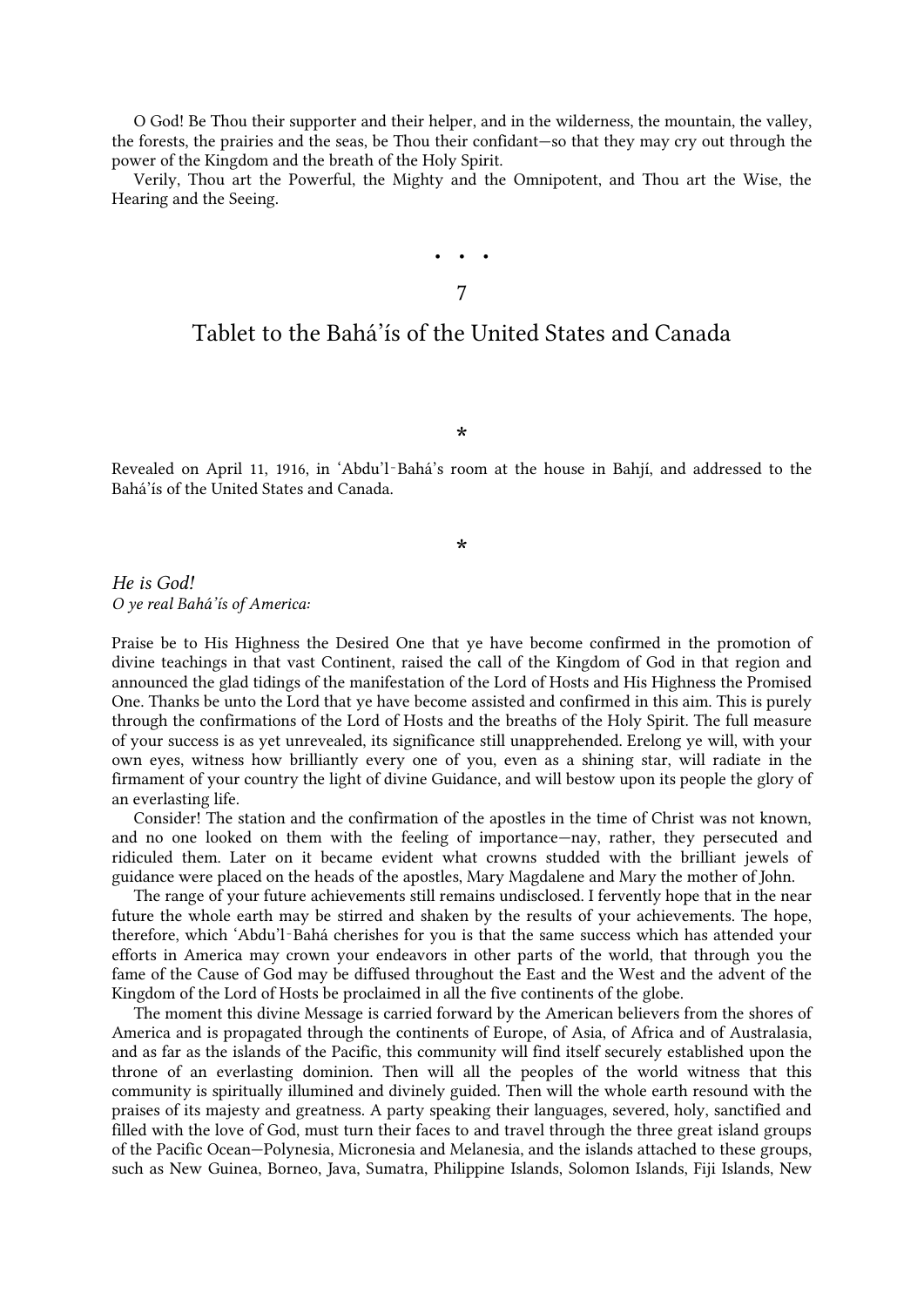O God! Be Thou their supporter and their helper, and in the wilderness, the mountain, the valley, the forests, the prairies and the seas, be Thou their confidant—so that they may cry out through the power of the Kingdom and the breath of the Holy Spirit.

<span id="page-7-0"></span>Verily, Thou art the Powerful, the Mighty and the Omnipotent, and Thou art the Wise, the Hearing and the Seeing.

# • • • 7

## Tablet to the Bahá'ís of the United States and Canada

\*

Revealed on April 11, 1916, in 'Abdu'l‑Bahá's room at the house in Bahjí, and addressed to the Bahá'ís of the United States and Canada.

#### \*

*He is God! O ye real Bahá'ís of America:*

Praise be to His Highness the Desired One that ye have become confirmed in the promotion of divine teachings in that vast Continent, raised the call of the Kingdom of God in that region and announced the glad tidings of the manifestation of the Lord of Hosts and His Highness the Promised One. Thanks be unto the Lord that ye have become assisted and confirmed in this aim. This is purely through the confirmations of the Lord of Hosts and the breaths of the Holy Spirit. The full measure of your success is as yet unrevealed, its significance still unapprehended. Erelong ye will, with your own eyes, witness how brilliantly every one of you, even as a shining star, will radiate in the firmament of your country the light of divine Guidance, and will bestow upon its people the glory of an everlasting life.

Consider! The station and the confirmation of the apostles in the time of Christ was not known, and no one looked on them with the feeling of importance—nay, rather, they persecuted and ridiculed them. Later on it became evident what crowns studded with the brilliant jewels of guidance were placed on the heads of the apostles, Mary Magdalene and Mary the mother of John.

The range of your future achievements still remains undisclosed. I fervently hope that in the near future the whole earth may be stirred and shaken by the results of your achievements. The hope, therefore, which 'Abdu'l‑Bahá cherishes for you is that the same success which has attended your efforts in America may crown your endeavors in other parts of the world, that through you the fame of the Cause of God may be diffused throughout the East and the West and the advent of the Kingdom of the Lord of Hosts be proclaimed in all the five continents of the globe.

The moment this divine Message is carried forward by the American believers from the shores of America and is propagated through the continents of Europe, of Asia, of Africa and of Australasia, and as far as the islands of the Pacific, this community will find itself securely established upon the throne of an everlasting dominion. Then will all the peoples of the world witness that this community is spiritually illumined and divinely guided. Then will the whole earth resound with the praises of its majesty and greatness. A party speaking their languages, severed, holy, sanctified and filled with the love of God, must turn their faces to and travel through the three great island groups of the Pacific Ocean—Polynesia, Micronesia and Melanesia, and the islands attached to these groups, such as New Guinea, Borneo, Java, Sumatra, Philippine Islands, Solomon Islands, Fiji Islands, New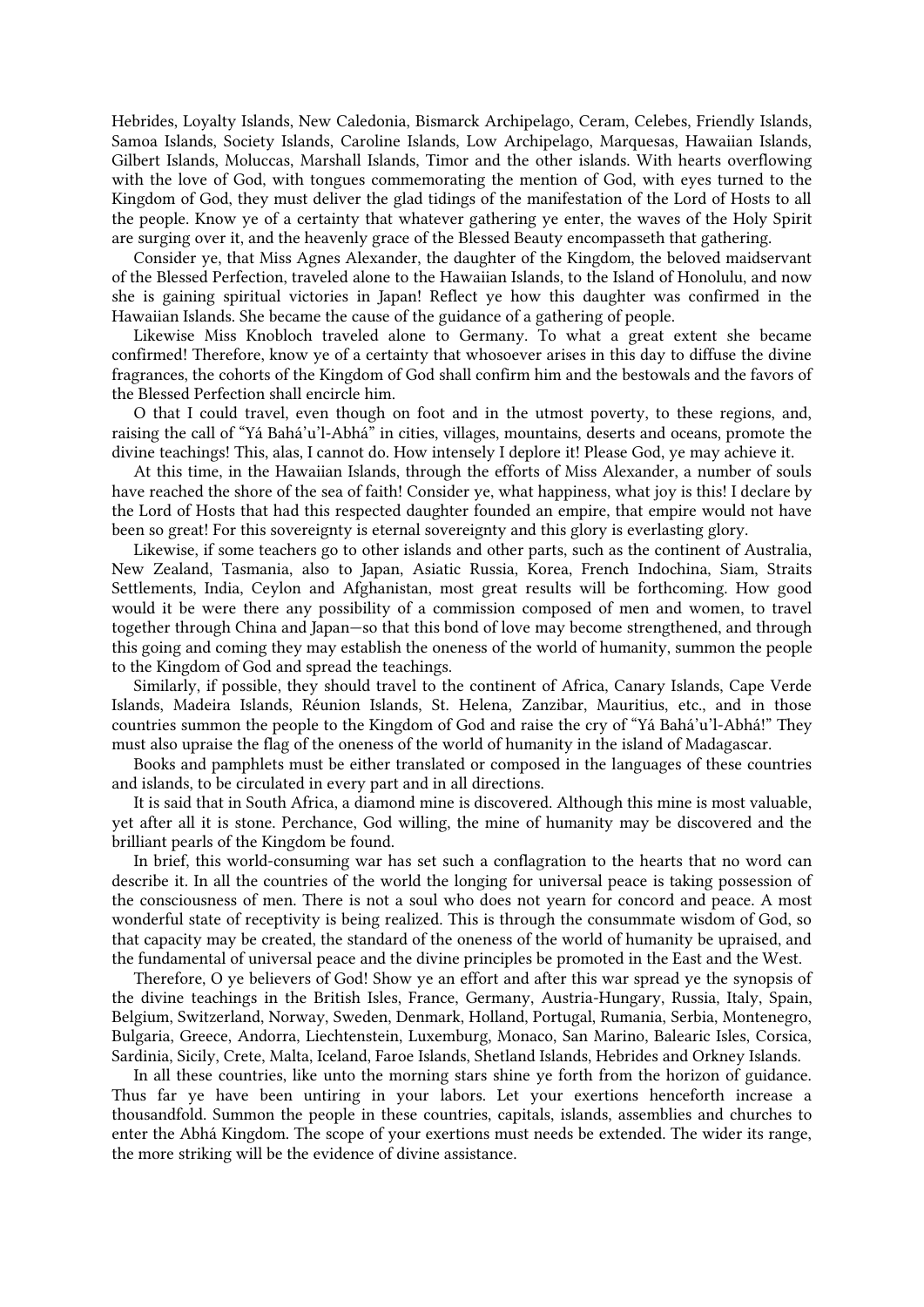Hebrides, Loyalty Islands, New Caledonia, Bismarck Archipelago, Ceram, Celebes, Friendly Islands, Samoa Islands, Society Islands, Caroline Islands, Low Archipelago, Marquesas, Hawaiian Islands, Gilbert Islands, Moluccas, Marshall Islands, Timor and the other islands. With hearts overflowing with the love of God, with tongues commemorating the mention of God, with eyes turned to the Kingdom of God, they must deliver the glad tidings of the manifestation of the Lord of Hosts to all the people. Know ye of a certainty that whatever gathering ye enter, the waves of the Holy Spirit are surging over it, and the heavenly grace of the Blessed Beauty encompasseth that gathering.

Consider ye, that Miss Agnes Alexander, the daughter of the Kingdom, the beloved maidservant of the Blessed Perfection, traveled alone to the Hawaiian Islands, to the Island of Honolulu, and now she is gaining spiritual victories in Japan! Reflect ye how this daughter was confirmed in the Hawaiian Islands. She became the cause of the guidance of a gathering of people.

Likewise Miss Knobloch traveled alone to Germany. To what a great extent she became confirmed! Therefore, know ye of a certainty that whosoever arises in this day to diffuse the divine fragrances, the cohorts of the Kingdom of God shall confirm him and the bestowals and the favors of the Blessed Perfection shall encircle him.

O that I could travel, even though on foot and in the utmost poverty, to these regions, and, raising the call of "Yá Bahá'u'l-Abhá" in cities, villages, mountains, deserts and oceans, promote the divine teachings! This, alas, I cannot do. How intensely I deplore it! Please God, ye may achieve it.

At this time, in the Hawaiian Islands, through the efforts of Miss Alexander, a number of souls have reached the shore of the sea of faith! Consider ye, what happiness, what joy is this! I declare by the Lord of Hosts that had this respected daughter founded an empire, that empire would not have been so great! For this sovereignty is eternal sovereignty and this glory is everlasting glory.

Likewise, if some teachers go to other islands and other parts, such as the continent of Australia, New Zealand, Tasmania, also to Japan, Asiatic Russia, Korea, French Indochina, Siam, Straits Settlements, India, Ceylon and Afghanistan, most great results will be forthcoming. How good would it be were there any possibility of a commission composed of men and women, to travel together through China and Japan—so that this bond of love may become strengthened, and through this going and coming they may establish the oneness of the world of humanity, summon the people to the Kingdom of God and spread the teachings.

Similarly, if possible, they should travel to the continent of Africa, Canary Islands, Cape Verde Islands, Madeira Islands, Réunion Islands, St. Helena, Zanzibar, Mauritius, etc., and in those countries summon the people to the Kingdom of God and raise the cry of "Yá Bahá'u'l-Abhá!" They must also upraise the flag of the oneness of the world of humanity in the island of Madagascar.

Books and pamphlets must be either translated or composed in the languages of these countries and islands, to be circulated in every part and in all directions.

It is said that in South Africa, a diamond mine is discovered. Although this mine is most valuable, yet after all it is stone. Perchance, God willing, the mine of humanity may be discovered and the brilliant pearls of the Kingdom be found.

In brief, this world-consuming war has set such a conflagration to the hearts that no word can describe it. In all the countries of the world the longing for universal peace is taking possession of the consciousness of men. There is not a soul who does not yearn for concord and peace. A most wonderful state of receptivity is being realized. This is through the consummate wisdom of God, so that capacity may be created, the standard of the oneness of the world of humanity be upraised, and the fundamental of universal peace and the divine principles be promoted in the East and the West.

Therefore, O ye believers of God! Show ye an effort and after this war spread ye the synopsis of the divine teachings in the British Isles, France, Germany, Austria-Hungary, Russia, Italy, Spain, Belgium, Switzerland, Norway, Sweden, Denmark, Holland, Portugal, Rumania, Serbia, Montenegro, Bulgaria, Greece, Andorra, Liechtenstein, Luxemburg, Monaco, San Marino, Balearic Isles, Corsica, Sardinia, Sicily, Crete, Malta, Iceland, Faroe Islands, Shetland Islands, Hebrides and Orkney Islands.

In all these countries, like unto the morning stars shine ye forth from the horizon of guidance. Thus far ye have been untiring in your labors. Let your exertions henceforth increase a thousandfold. Summon the people in these countries, capitals, islands, assemblies and churches to enter the Abhá Kingdom. The scope of your exertions must needs be extended. The wider its range, the more striking will be the evidence of divine assistance.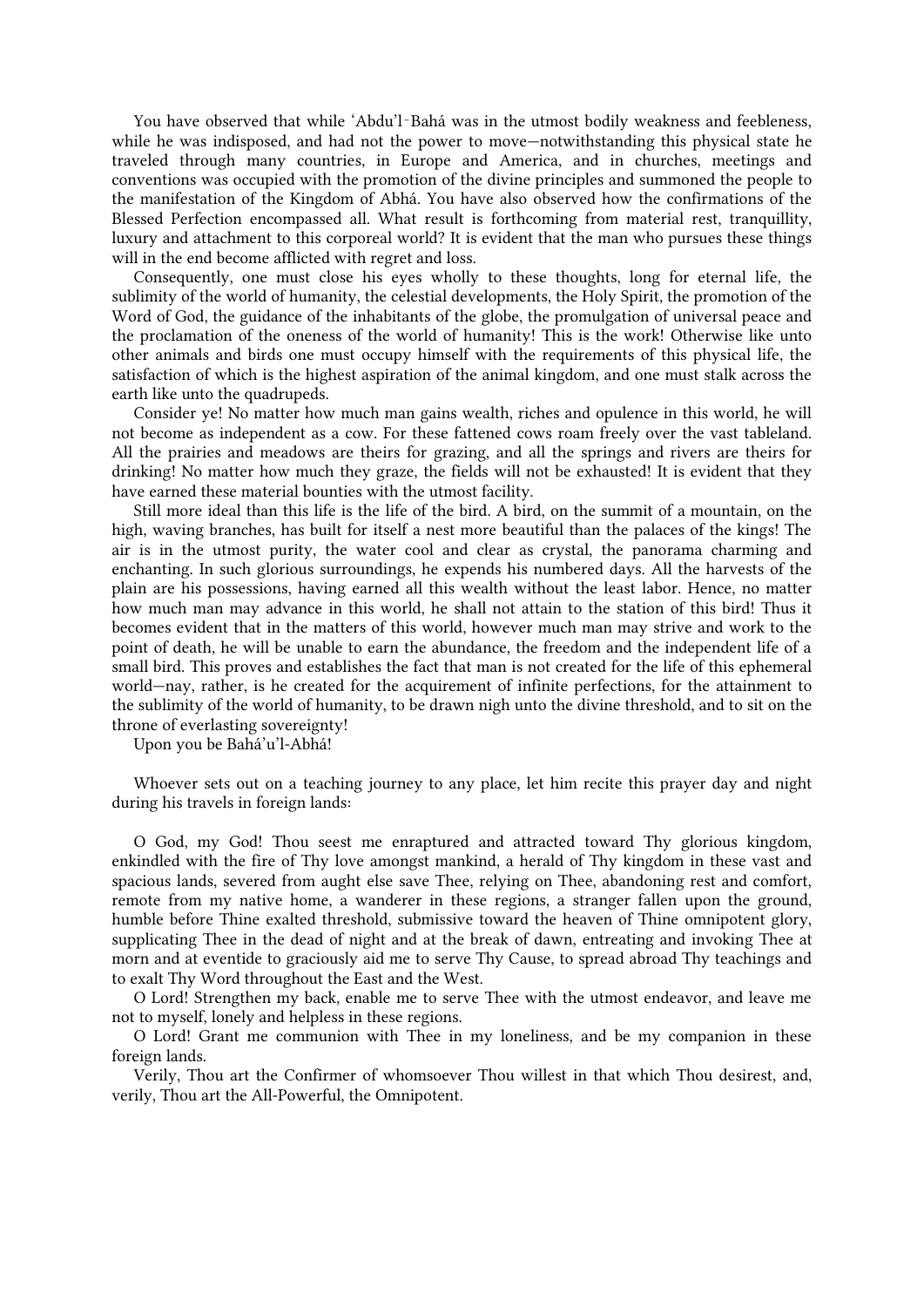You have observed that while 'Abdu'l-Bahá was in the utmost bodily weakness and feebleness, while he was indisposed, and had not the power to move—notwithstanding this physical state he traveled through many countries, in Europe and America, and in churches, meetings and conventions was occupied with the promotion of the divine principles and summoned the people to the manifestation of the Kingdom of Abhá. You have also observed how the confirmations of the Blessed Perfection encompassed all. What result is forthcoming from material rest, tranquillity, luxury and attachment to this corporeal world? It is evident that the man who pursues these things will in the end become afflicted with regret and loss.

Consequently, one must close his eyes wholly to these thoughts, long for eternal life, the sublimity of the world of humanity, the celestial developments, the Holy Spirit, the promotion of the Word of God, the guidance of the inhabitants of the globe, the promulgation of universal peace and the proclamation of the oneness of the world of humanity! This is the work! Otherwise like unto other animals and birds one must occupy himself with the requirements of this physical life, the satisfaction of which is the highest aspiration of the animal kingdom, and one must stalk across the earth like unto the quadrupeds.

Consider ye! No matter how much man gains wealth, riches and opulence in this world, he will not become as independent as a cow. For these fattened cows roam freely over the vast tableland. All the prairies and meadows are theirs for grazing, and all the springs and rivers are theirs for drinking! No matter how much they graze, the fields will not be exhausted! It is evident that they have earned these material bounties with the utmost facility.

Still more ideal than this life is the life of the bird. A bird, on the summit of a mountain, on the high, waving branches, has built for itself a nest more beautiful than the palaces of the kings! The air is in the utmost purity, the water cool and clear as crystal, the panorama charming and enchanting. In such glorious surroundings, he expends his numbered days. All the harvests of the plain are his possessions, having earned all this wealth without the least labor. Hence, no matter how much man may advance in this world, he shall not attain to the station of this bird! Thus it becomes evident that in the matters of this world, however much man may strive and work to the point of death, he will be unable to earn the abundance, the freedom and the independent life of a small bird. This proves and establishes the fact that man is not created for the life of this ephemeral world—nay, rather, is he created for the acquirement of infinite perfections, for the attainment to the sublimity of the world of humanity, to be drawn nigh unto the divine threshold, and to sit on the throne of everlasting sovereignty!

Upon you be Bahá'u'l-Abhá!

Whoever sets out on a teaching journey to any place, let him recite this prayer day and night during his travels in foreign lands:

O God, my God! Thou seest me enraptured and attracted toward Thy glorious kingdom, enkindled with the fire of Thy love amongst mankind, a herald of Thy kingdom in these vast and spacious lands, severed from aught else save Thee, relying on Thee, abandoning rest and comfort, remote from my native home, a wanderer in these regions, a stranger fallen upon the ground, humble before Thine exalted threshold, submissive toward the heaven of Thine omnipotent glory, supplicating Thee in the dead of night and at the break of dawn, entreating and invoking Thee at morn and at eventide to graciously aid me to serve Thy Cause, to spread abroad Thy teachings and to exalt Thy Word throughout the East and the West.

O Lord! Strengthen my back, enable me to serve Thee with the utmost endeavor, and leave me not to myself, lonely and helpless in these regions.

O Lord! Grant me communion with Thee in my loneliness, and be my companion in these foreign lands.

Verily, Thou art the Confirmer of whomsoever Thou willest in that which Thou desirest, and, verily, Thou art the All-Powerful, the Omnipotent.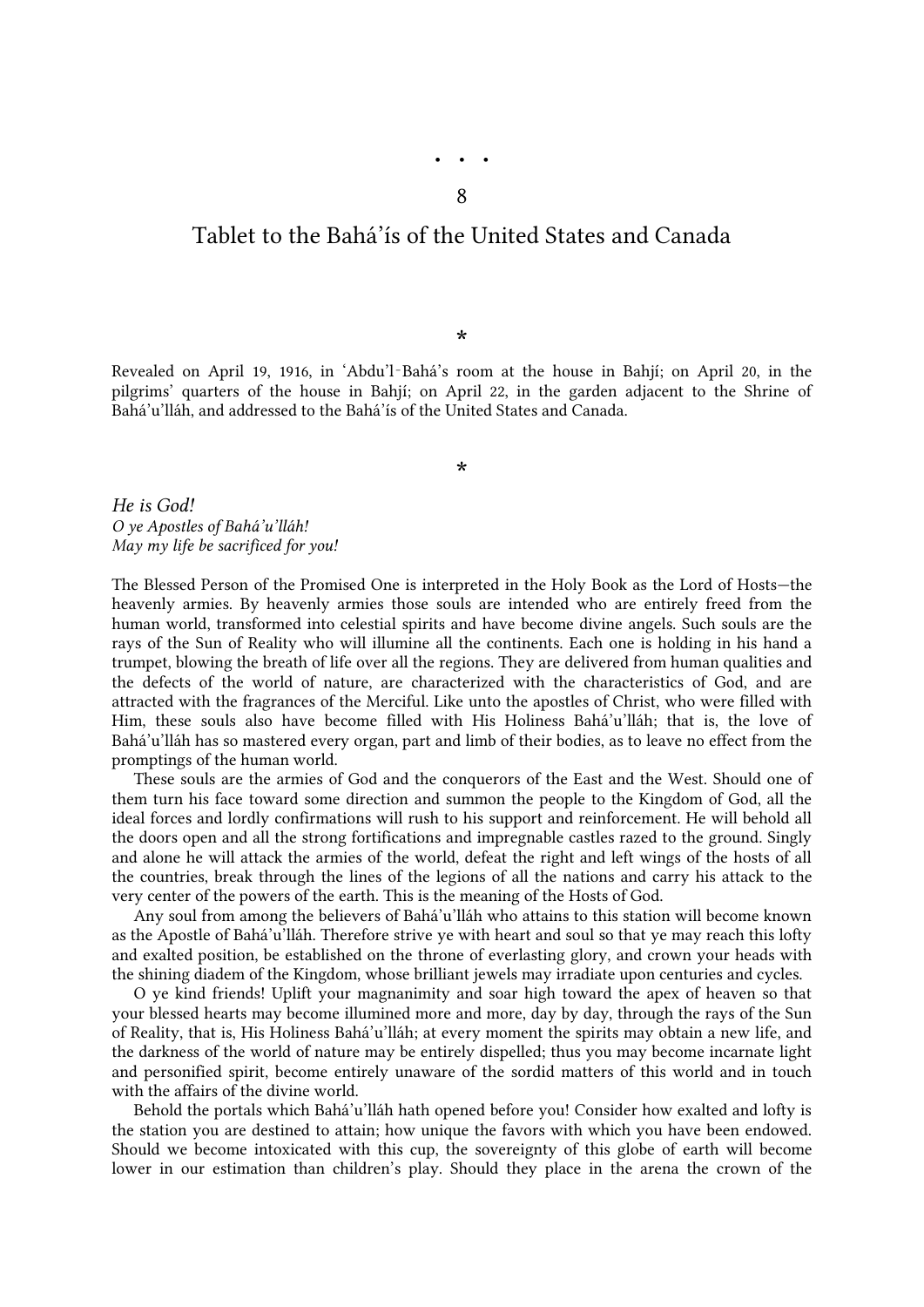## <span id="page-10-0"></span>Tablet to the Bahá'ís of the United States and Canada

\*

Revealed on April 19, 1916, in 'Abdu'l‑Bahá's room at the house in Bahjí; on April 20, in the pilgrims' quarters of the house in Bahjí; on April 22, in the garden adjacent to the Shrine of Bahá'u'lláh, and addressed to the Bahá'ís of the United States and Canada.

\*

*He is God! O ye Apostles of Bahá'u'lláh! May my life be sacrificed for you!*

The Blessed Person of the Promised One is interpreted in the Holy Book as the Lord of Hosts—the heavenly armies. By heavenly armies those souls are intended who are entirely freed from the human world, transformed into celestial spirits and have become divine angels. Such souls are the rays of the Sun of Reality who will illumine all the continents. Each one is holding in his hand a trumpet, blowing the breath of life over all the regions. They are delivered from human qualities and the defects of the world of nature, are characterized with the characteristics of God, and are attracted with the fragrances of the Merciful. Like unto the apostles of Christ, who were filled with Him, these souls also have become filled with His Holiness Bahá'u'lláh; that is, the love of Bahá'u'lláh has so mastered every organ, part and limb of their bodies, as to leave no effect from the promptings of the human world.

These souls are the armies of God and the conquerors of the East and the West. Should one of them turn his face toward some direction and summon the people to the Kingdom of God, all the ideal forces and lordly confirmations will rush to his support and reinforcement. He will behold all the doors open and all the strong fortifications and impregnable castles razed to the ground. Singly and alone he will attack the armies of the world, defeat the right and left wings of the hosts of all the countries, break through the lines of the legions of all the nations and carry his attack to the very center of the powers of the earth. This is the meaning of the Hosts of God.

Any soul from among the believers of Bahá'u'lláh who attains to this station will become known as the Apostle of Bahá'u'lláh. Therefore strive ye with heart and soul so that ye may reach this lofty and exalted position, be established on the throne of everlasting glory, and crown your heads with the shining diadem of the Kingdom, whose brilliant jewels may irradiate upon centuries and cycles.

O ye kind friends! Uplift your magnanimity and soar high toward the apex of heaven so that your blessed hearts may become illumined more and more, day by day, through the rays of the Sun of Reality, that is, His Holiness Bahá'u'lláh; at every moment the spirits may obtain a new life, and the darkness of the world of nature may be entirely dispelled; thus you may become incarnate light and personified spirit, become entirely unaware of the sordid matters of this world and in touch with the affairs of the divine world.

Behold the portals which Bahá'u'lláh hath opened before you! Consider how exalted and lofty is the station you are destined to attain; how unique the favors with which you have been endowed. Should we become intoxicated with this cup, the sovereignty of this globe of earth will become lower in our estimation than children's play. Should they place in the arena the crown of the

• • • 8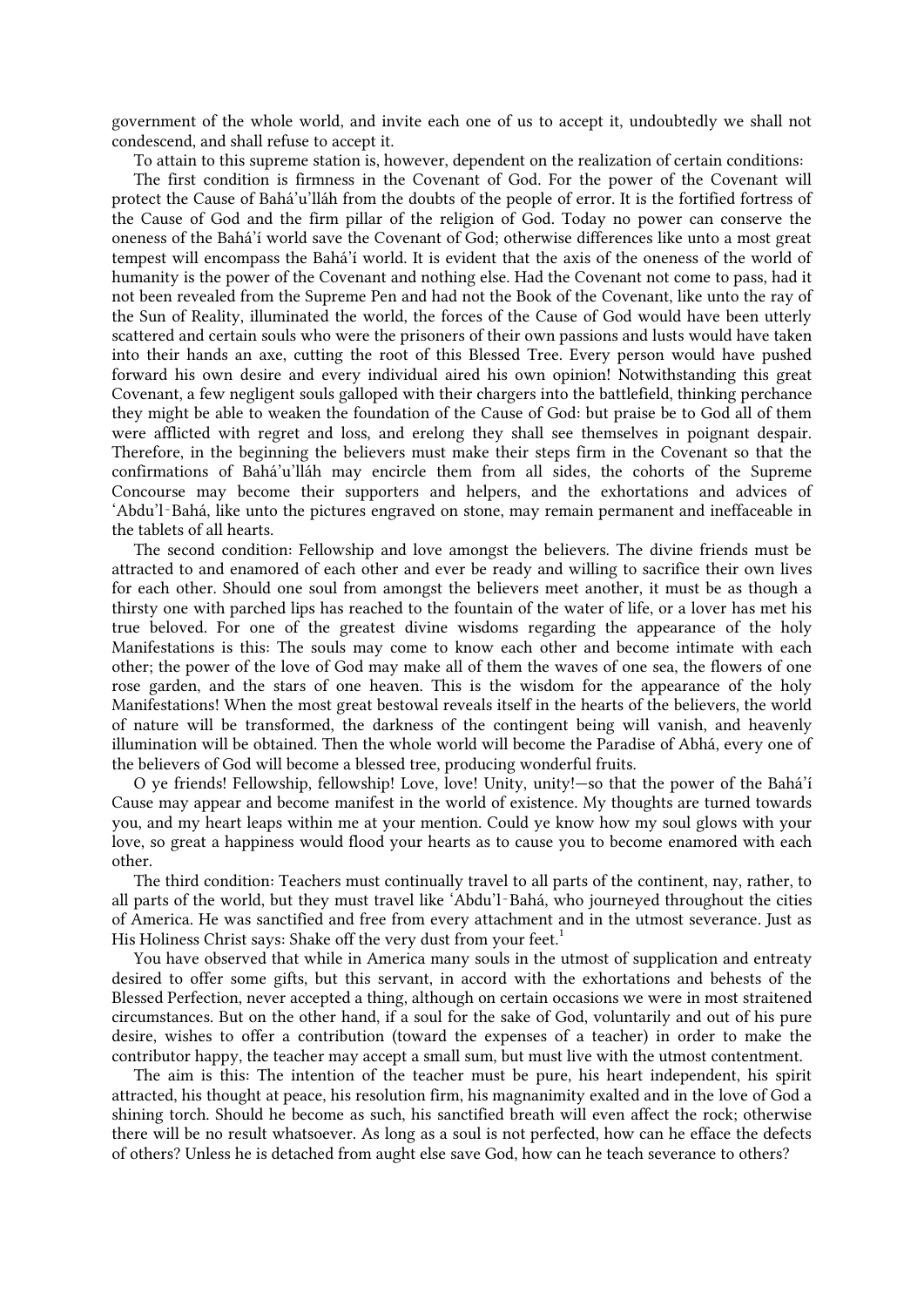government of the whole world, and invite each one of us to accept it, undoubtedly we shall not condescend, and shall refuse to accept it.

To attain to this supreme station is, however, dependent on the realization of certain conditions:

The first condition is firmness in the Covenant of God. For the power of the Covenant will protect the Cause of Bahá'u'lláh from the doubts of the people of error. It is the fortified fortress of the Cause of God and the firm pillar of the religion of God. Today no power can conserve the oneness of the Bahá'í world save the Covenant of God; otherwise differences like unto a most great tempest will encompass the Bahá'í world. It is evident that the axis of the oneness of the world of humanity is the power of the Covenant and nothing else. Had the Covenant not come to pass, had it not been revealed from the Supreme Pen and had not the Book of the Covenant, like unto the ray of the Sun of Reality, illuminated the world, the forces of the Cause of God would have been utterly scattered and certain souls who were the prisoners of their own passions and lusts would have taken into their hands an axe, cutting the root of this Blessed Tree. Every person would have pushed forward his own desire and every individual aired his own opinion! Notwithstanding this great Covenant, a few negligent souls galloped with their chargers into the battlefield, thinking perchance they might be able to weaken the foundation of the Cause of God: but praise be to God all of them were afflicted with regret and loss, and erelong they shall see themselves in poignant despair. Therefore, in the beginning the believers must make their steps firm in the Covenant so that the confirmations of Bahá'u'lláh may encircle them from all sides, the cohorts of the Supreme Concourse may become their supporters and helpers, and the exhortations and advices of 'Abdu'l‑Bahá, like unto the pictures engraved on stone, may remain permanent and ineffaceable in the tablets of all hearts.

The second condition: Fellowship and love amongst the believers. The divine friends must be attracted to and enamored of each other and ever be ready and willing to sacrifice their own lives for each other. Should one soul from amongst the believers meet another, it must be as though a thirsty one with parched lips has reached to the fountain of the water of life, or a lover has met his true beloved. For one of the greatest divine wisdoms regarding the appearance of the holy Manifestations is this: The souls may come to know each other and become intimate with each other; the power of the love of God may make all of them the waves of one sea, the flowers of one rose garden, and the stars of one heaven. This is the wisdom for the appearance of the holy Manifestations! When the most great bestowal reveals itself in the hearts of the believers, the world of nature will be transformed, the darkness of the contingent being will vanish, and heavenly illumination will be obtained. Then the whole world will become the Paradise of Abhá, every one of the believers of God will become a blessed tree, producing wonderful fruits.

O ye friends! Fellowship, fellowship! Love, love! Unity, unity!—so that the power of the Bahá'í Cause may appear and become manifest in the world of existence. My thoughts are turned towards you, and my heart leaps within me at your mention. Could ye know how my soul glows with your love, so great a happiness would flood your hearts as to cause you to become enamored with each other.

<span id="page-11-0"></span>The third condition: Teachers must continually travel to all parts of the continent, nay, rather, to all parts of the world, but they must travel like 'Abdu'l‑Bahá, who journeyed throughout the cities of America. He was sanctified and free from every attachment and in the utmost severance. Just as His Holiness Christ says: Shake off the very dust from your feet[.](#page-25-13)<sup>1</sup>

You have observed that while in America many souls in the utmost of supplication and entreaty desired to offer some gifts, but this servant, in accord with the exhortations and behests of the Blessed Perfection, never accepted a thing, although on certain occasions we were in most straitened circumstances. But on the other hand, if a soul for the sake of God, voluntarily and out of his pure desire, wishes to offer a contribution (toward the expenses of a teacher) in order to make the contributor happy, the teacher may accept a small sum, but must live with the utmost contentment.

The aim is this: The intention of the teacher must be pure, his heart independent, his spirit attracted, his thought at peace, his resolution firm, his magnanimity exalted and in the love of God a shining torch. Should he become as such, his sanctified breath will even affect the rock; otherwise there will be no result whatsoever. As long as a soul is not perfected, how can he efface the defects of others? Unless he is detached from aught else save God, how can he teach severance to others?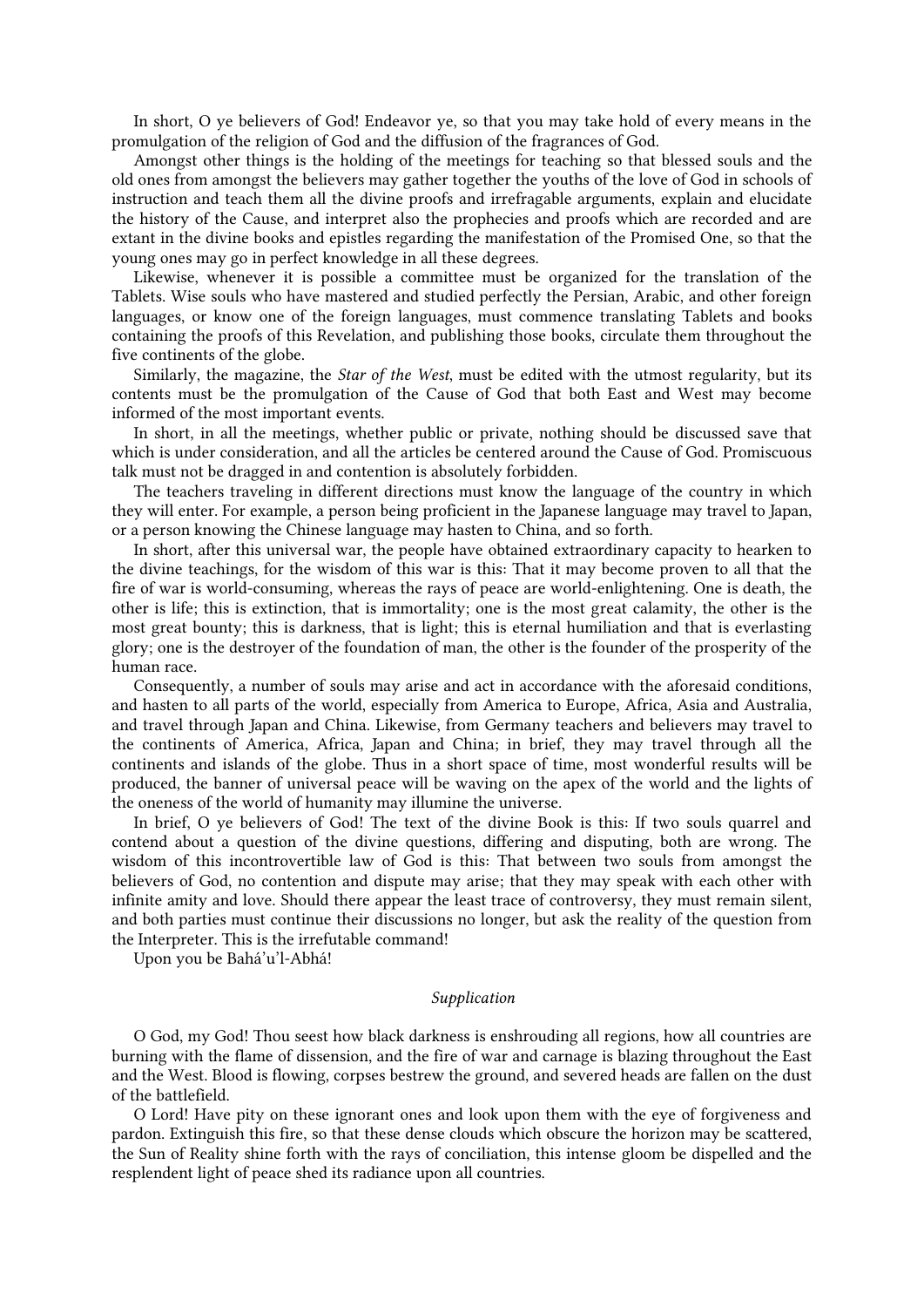In short, O ye believers of God! Endeavor ye, so that you may take hold of every means in the promulgation of the religion of God and the diffusion of the fragrances of God.

Amongst other things is the holding of the meetings for teaching so that blessed souls and the old ones from amongst the believers may gather together the youths of the love of God in schools of instruction and teach them all the divine proofs and irrefragable arguments, explain and elucidate the history of the Cause, and interpret also the prophecies and proofs which are recorded and are extant in the divine books and epistles regarding the manifestation of the Promised One, so that the young ones may go in perfect knowledge in all these degrees.

Likewise, whenever it is possible a committee must be organized for the translation of the Tablets. Wise souls who have mastered and studied perfectly the Persian, Arabic, and other foreign languages, or know one of the foreign languages, must commence translating Tablets and books containing the proofs of this Revelation, and publishing those books, circulate them throughout the five continents of the globe.

Similarly, the magazine, the *Star of the West*, must be edited with the utmost regularity, but its contents must be the promulgation of the Cause of God that both East and West may become informed of the most important events.

In short, in all the meetings, whether public or private, nothing should be discussed save that which is under consideration, and all the articles be centered around the Cause of God. Promiscuous talk must not be dragged in and contention is absolutely forbidden.

The teachers traveling in different directions must know the language of the country in which they will enter. For example, a person being proficient in the Japanese language may travel to Japan, or a person knowing the Chinese language may hasten to China, and so forth.

In short, after this universal war, the people have obtained extraordinary capacity to hearken to the divine teachings, for the wisdom of this war is this: That it may become proven to all that the fire of war is world-consuming, whereas the rays of peace are world-enlightening. One is death, the other is life; this is extinction, that is immortality; one is the most great calamity, the other is the most great bounty; this is darkness, that is light; this is eternal humiliation and that is everlasting glory; one is the destroyer of the foundation of man, the other is the founder of the prosperity of the human race.

Consequently, a number of souls may arise and act in accordance with the aforesaid conditions, and hasten to all parts of the world, especially from America to Europe, Africa, Asia and Australia, and travel through Japan and China. Likewise, from Germany teachers and believers may travel to the continents of America, Africa, Japan and China; in brief, they may travel through all the continents and islands of the globe. Thus in a short space of time, most wonderful results will be produced, the banner of universal peace will be waving on the apex of the world and the lights of the oneness of the world of humanity may illumine the universe.

In brief, O ye believers of God! The text of the divine Book is this: If two souls quarrel and contend about a question of the divine questions, differing and disputing, both are wrong. The wisdom of this incontrovertible law of God is this: That between two souls from amongst the believers of God, no contention and dispute may arise; that they may speak with each other with infinite amity and love. Should there appear the least trace of controversy, they must remain silent, and both parties must continue their discussions no longer, but ask the reality of the question from the Interpreter. This is the irrefutable command!

Upon you be Bahá'u'l-Abhá!

#### *Supplication*

O God, my God! Thou seest how black darkness is enshrouding all regions, how all countries are burning with the flame of dissension, and the fire of war and carnage is blazing throughout the East and the West. Blood is flowing, corpses bestrew the ground, and severed heads are fallen on the dust of the battlefield.

O Lord! Have pity on these ignorant ones and look upon them with the eye of forgiveness and pardon. Extinguish this fire, so that these dense clouds which obscure the horizon may be scattered, the Sun of Reality shine forth with the rays of conciliation, this intense gloom be dispelled and the resplendent light of peace shed its radiance upon all countries.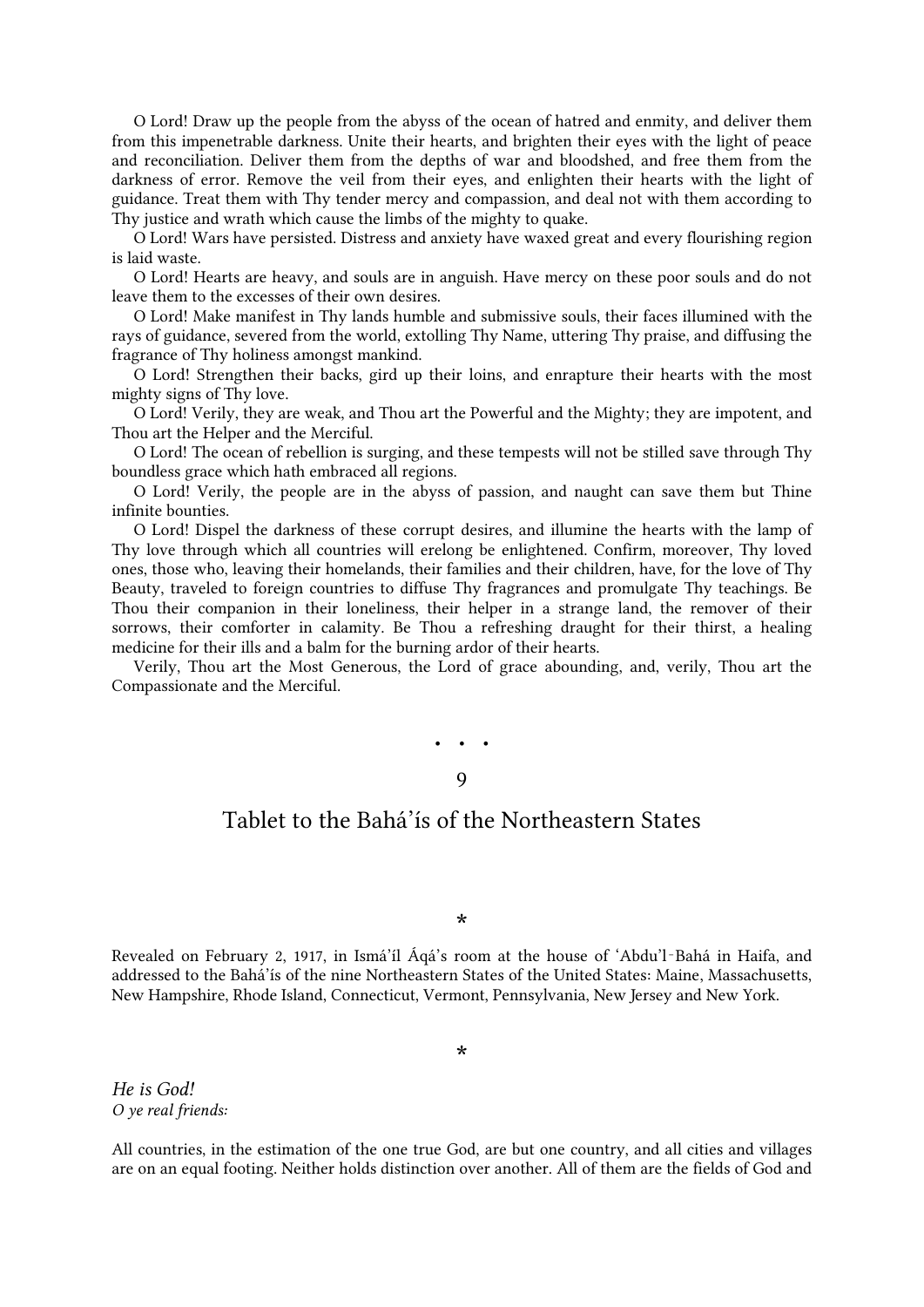O Lord! Draw up the people from the abyss of the ocean of hatred and enmity, and deliver them from this impenetrable darkness. Unite their hearts, and brighten their eyes with the light of peace and reconciliation. Deliver them from the depths of war and bloodshed, and free them from the darkness of error. Remove the veil from their eyes, and enlighten their hearts with the light of guidance. Treat them with Thy tender mercy and compassion, and deal not with them according to Thy justice and wrath which cause the limbs of the mighty to quake.

O Lord! Wars have persisted. Distress and anxiety have waxed great and every flourishing region is laid waste.

O Lord! Hearts are heavy, and souls are in anguish. Have mercy on these poor souls and do not leave them to the excesses of their own desires.

O Lord! Make manifest in Thy lands humble and submissive souls, their faces illumined with the rays of guidance, severed from the world, extolling Thy Name, uttering Thy praise, and diffusing the fragrance of Thy holiness amongst mankind.

O Lord! Strengthen their backs, gird up their loins, and enrapture their hearts with the most mighty signs of Thy love.

O Lord! Verily, they are weak, and Thou art the Powerful and the Mighty; they are impotent, and Thou art the Helper and the Merciful.

O Lord! The ocean of rebellion is surging, and these tempests will not be stilled save through Thy boundless grace which hath embraced all regions.

O Lord! Verily, the people are in the abyss of passion, and naught can save them but Thine infinite bounties.

O Lord! Dispel the darkness of these corrupt desires, and illumine the hearts with the lamp of Thy love through which all countries will erelong be enlightened. Confirm, moreover, Thy loved ones, those who, leaving their homelands, their families and their children, have, for the love of Thy Beauty, traveled to foreign countries to diffuse Thy fragrances and promulgate Thy teachings. Be Thou their companion in their loneliness, their helper in a strange land, the remover of their sorrows, their comforter in calamity. Be Thou a refreshing draught for their thirst, a healing medicine for their ills and a balm for the burning ardor of their hearts.

<span id="page-13-0"></span>Verily, Thou art the Most Generous, the Lord of grace abounding, and, verily, Thou art the Compassionate and the Merciful.

> • • • 9

### Tablet to the Bahá'ís of the Northeastern States

\*

Revealed on February 2, 1917, in Ismá'íl Áqá's room at the house of 'Abdu'l‑Bahá in Haifa, and addressed to the Bahá'ís of the nine Northeastern States of the United States: Maine, Massachusetts, New Hampshire, Rhode Island, Connecticut, Vermont, Pennsylvania, New Jersey and New York.

\*

*He is God! O ye real friends:*

All countries, in the estimation of the one true God, are but one country, and all cities and villages are on an equal footing. Neither holds distinction over another. All of them are the fields of God and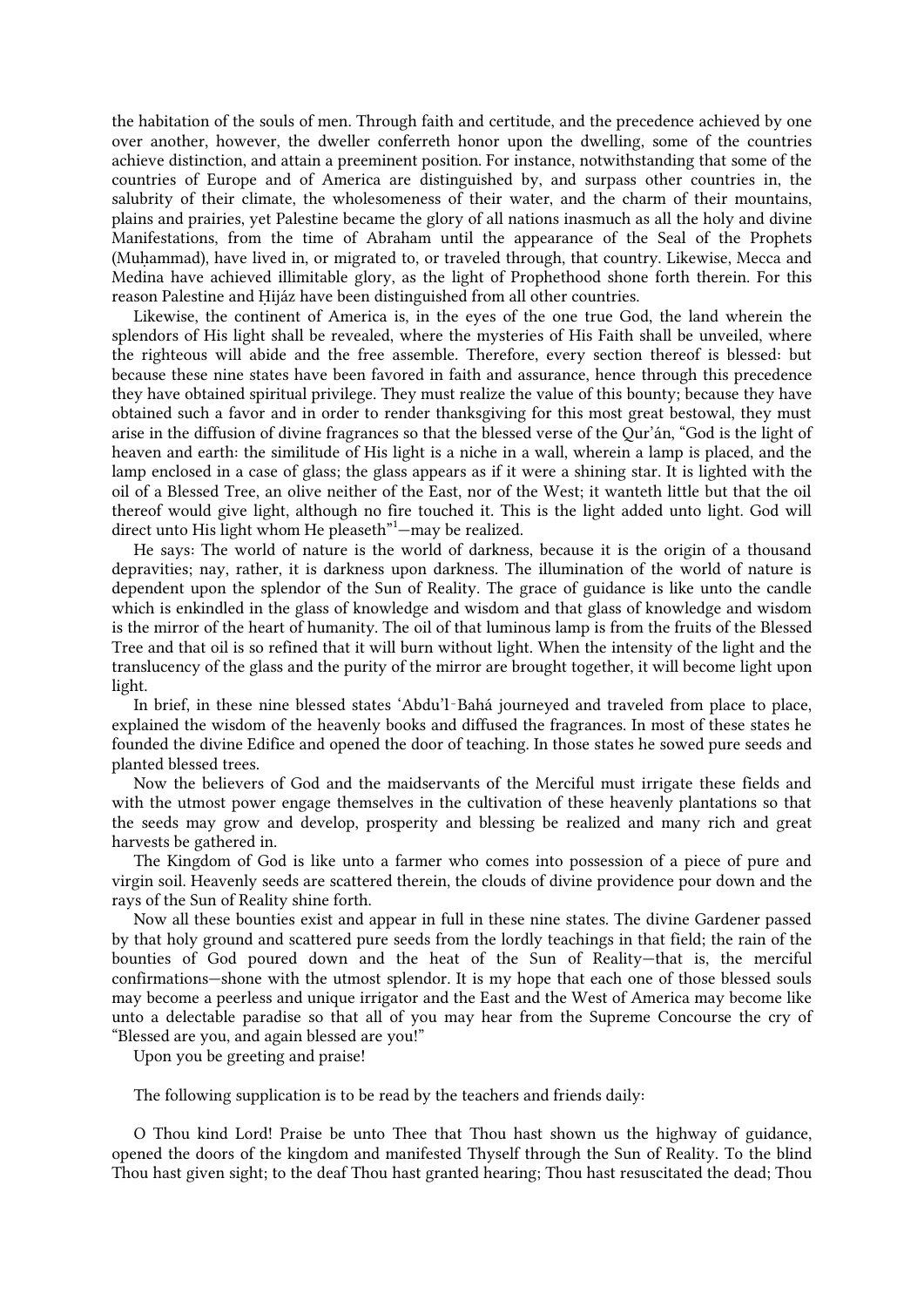the habitation of the souls of men. Through faith and certitude, and the precedence achieved by one over another, however, the dweller conferreth honor upon the dwelling, some of the countries achieve distinction, and attain a preeminent position. For instance, notwithstanding that some of the countries of Europe and of America are distinguished by, and surpass other countries in, the salubrity of their climate, the wholesomeness of their water, and the charm of their mountains, plains and prairies, yet Palestine became the glory of all nations inasmuch as all the holy and divine Manifestations, from the time of Abraham until the appearance of the Seal of the Prophets (Muhammad), have lived in, or migrated to, or traveled through, that country. Likewise, Mecca and Medina have achieved illimitable glory, as the light of Prophethood shone forth therein. For this reason Palestine and Ḥijáz have been distinguished from all other countries.

<span id="page-14-0"></span>Likewise, the continent of America is, in the eyes of the one true God, the land wherein the splendors of His light shall be revealed, where the mysteries of His Faith shall be unveiled, where the righteous will abide and the free assemble. Therefore, every section thereof is blessed: but because these nine states have been favored in faith and assurance, hence through this precedence they have obtained spiritual privilege. They must realize the value of this bounty; because they have obtained such a favor and in order to render thanksgiving for this most great bestowal, they must arise in the diffusion of divine fragrances so that the blessed verse of the Qur'án, "God is the light of heaven and earth: the similitude of His light is a niche in a wall, wherein a lamp is placed, and the lamp enclosed in a case of glass; the glass appears as if it were a shining star. It is lighted with the oil of a Blessed Tree, an olive neither of the East, nor of the West; it wanteth little but that the oil thereof would give light, although no fire touched it. This is the light added unto light. God will direct unto His light whom He pleaseth"<sup>1</sup>-may be realized.

He says: The world of nature is the world of darkness, because it is the origin of a thousand depravities; nay, rather, it is darkness upon darkness. The illumination of the world of nature is dependent upon the splendor of the Sun of Reality. The grace of guidance is like unto the candle which is enkindled in the glass of knowledge and wisdom and that glass of knowledge and wisdom is the mirror of the heart of humanity. The oil of that luminous lamp is from the fruits of the Blessed Tree and that oil is so refined that it will burn without light. When the intensity of the light and the translucency of the glass and the purity of the mirror are brought together, it will become light upon light.

In brief, in these nine blessed states 'Abdu'l‑Bahá journeyed and traveled from place to place, explained the wisdom of the heavenly books and diffused the fragrances. In most of these states he founded the divine Edifice and opened the door of teaching. In those states he sowed pure seeds and planted blessed trees.

Now the believers of God and the maidservants of the Merciful must irrigate these fields and with the utmost power engage themselves in the cultivation of these heavenly plantations so that the seeds may grow and develop, prosperity and blessing be realized and many rich and great harvests be gathered in.

The Kingdom of God is like unto a farmer who comes into possession of a piece of pure and virgin soil. Heavenly seeds are scattered therein, the clouds of divine providence pour down and the rays of the Sun of Reality shine forth.

Now all these bounties exist and appear in full in these nine states. The divine Gardener passed by that holy ground and scattered pure seeds from the lordly teachings in that field; the rain of the bounties of God poured down and the heat of the Sun of Reality—that is, the merciful confirmations—shone with the utmost splendor. It is my hope that each one of those blessed souls may become a peerless and unique irrigator and the East and the West of America may become like unto a delectable paradise so that all of you may hear from the Supreme Concourse the cry of "Blessed are you, and again blessed are you!"

Upon you be greeting and praise!

The following supplication is to be read by the teachers and friends daily:

O Thou kind Lord! Praise be unto Thee that Thou hast shown us the highway of guidance, opened the doors of the kingdom and manifested Thyself through the Sun of Reality. To the blind Thou hast given sight; to the deaf Thou hast granted hearing; Thou hast resuscitated the dead; Thou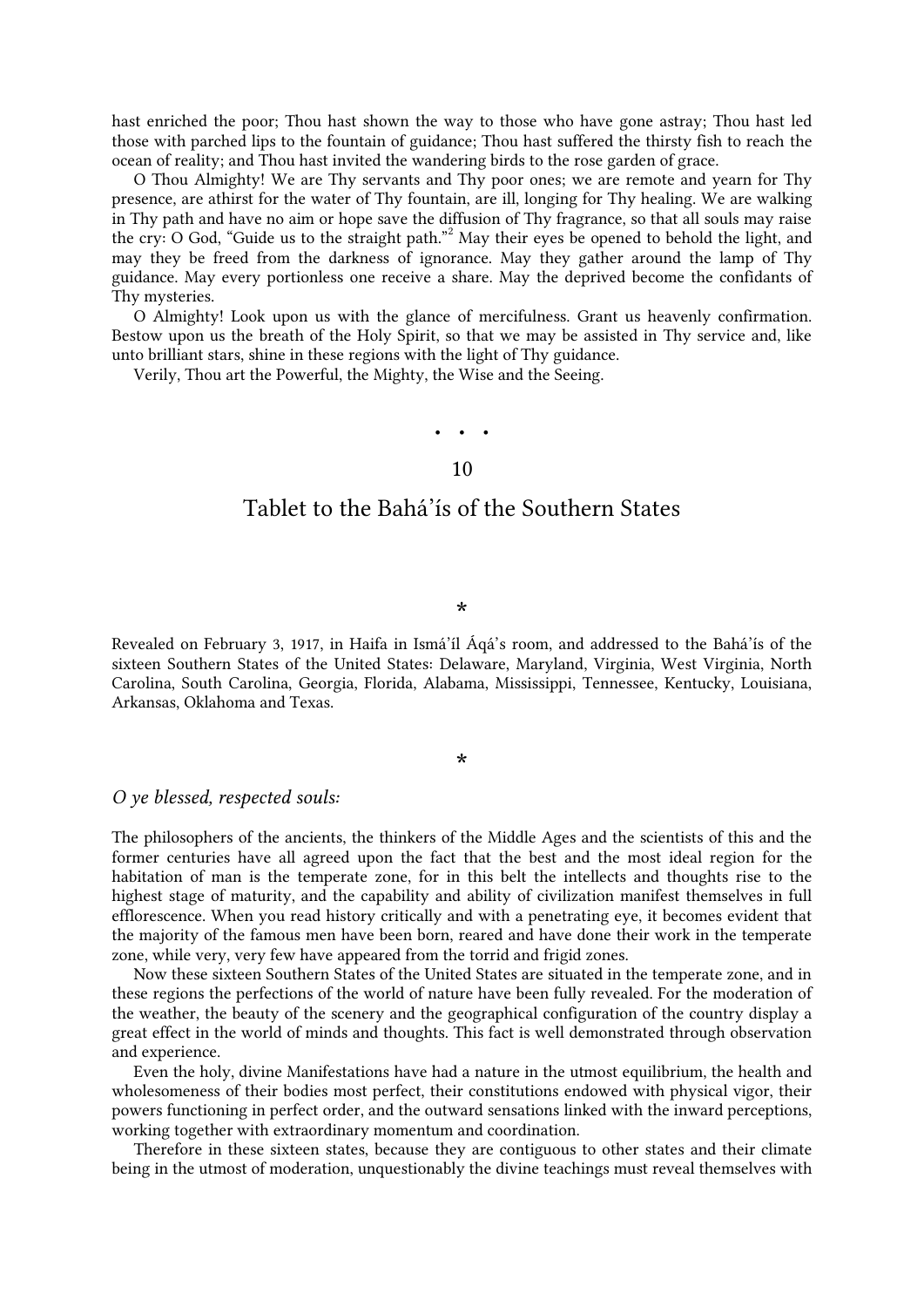hast enriched the poor; Thou hast shown the way to those who have gone astray; Thou hast led those with parched lips to the fountain of guidance; Thou hast suffered the thirsty fish to reach the ocean of reality; and Thou hast invited the wandering birds to the rose garden of grace.

<span id="page-15-1"></span>O Thou Almighty! We are Thy servants and Thy poor ones; we are remote and yearn for Thy presence, are athirst for the water of Thy fountain, are ill, longing for Thy healing. We are walking in Thy path and have no aim or hope save the diffusion of Thy fragrance, so that all souls may raise the cry: O God, "Guide us to the straight path.["](#page-25-15)<sup>2</sup> May their eyes be opened to behold the light, and may they be freed from the darkness of ignorance. May they gather around the lamp of Thy guidance. May every portionless one receive a share. May the deprived become the confidants of Thy mysteries.

O Almighty! Look upon us with the glance of mercifulness. Grant us heavenly confirmation. Bestow upon us the breath of the Holy Spirit, so that we may be assisted in Thy service and, like unto brilliant stars, shine in these regions with the light of Thy guidance.

<span id="page-15-0"></span>Verily, Thou art the Powerful, the Mighty, the Wise and the Seeing.

# • • • 10

### Tablet to the Bahá'ís of the Southern States

\*

Revealed on February 3, 1917, in Haifa in Ismá'íl Áqá's room, and addressed to the Bahá'ís of the sixteen Southern States of the United States: Delaware, Maryland, Virginia, West Virginia, North Carolina, South Carolina, Georgia, Florida, Alabama, Mississippi, Tennessee, Kentucky, Louisiana, Arkansas, Oklahoma and Texas.

#### \*

#### *O ye blessed, respected souls:*

The philosophers of the ancients, the thinkers of the Middle Ages and the scientists of this and the former centuries have all agreed upon the fact that the best and the most ideal region for the habitation of man is the temperate zone, for in this belt the intellects and thoughts rise to the highest stage of maturity, and the capability and ability of civilization manifest themselves in full efflorescence. When you read history critically and with a penetrating eye, it becomes evident that the majority of the famous men have been born, reared and have done their work in the temperate zone, while very, very few have appeared from the torrid and frigid zones.

Now these sixteen Southern States of the United States are situated in the temperate zone, and in these regions the perfections of the world of nature have been fully revealed. For the moderation of the weather, the beauty of the scenery and the geographical configuration of the country display a great effect in the world of minds and thoughts. This fact is well demonstrated through observation and experience.

Even the holy, divine Manifestations have had a nature in the utmost equilibrium, the health and wholesomeness of their bodies most perfect, their constitutions endowed with physical vigor, their powers functioning in perfect order, and the outward sensations linked with the inward perceptions, working together with extraordinary momentum and coordination.

Therefore in these sixteen states, because they are contiguous to other states and their climate being in the utmost of moderation, unquestionably the divine teachings must reveal themselves with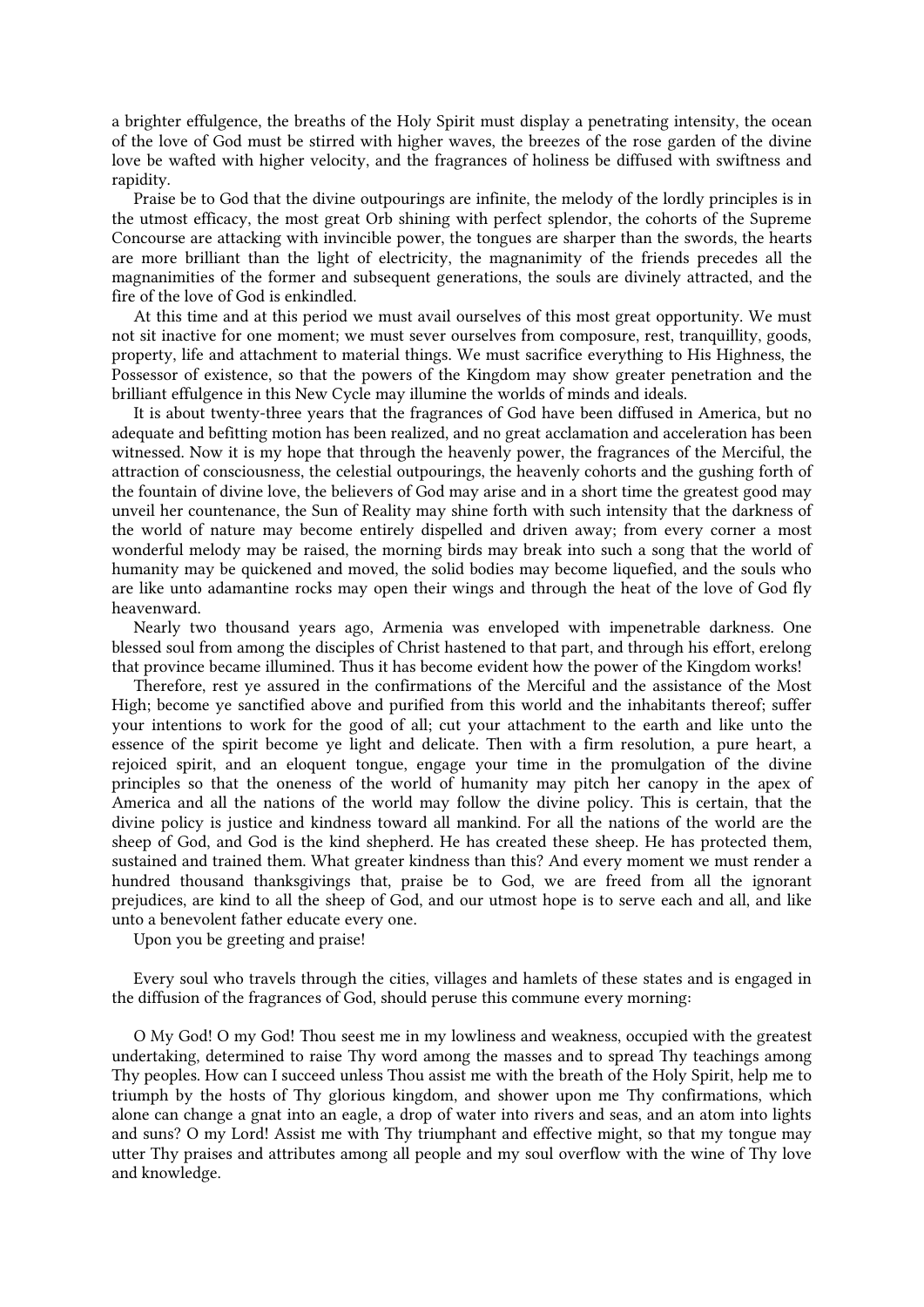a brighter effulgence, the breaths of the Holy Spirit must display a penetrating intensity, the ocean of the love of God must be stirred with higher waves, the breezes of the rose garden of the divine love be wafted with higher velocity, and the fragrances of holiness be diffused with swiftness and rapidity.

Praise be to God that the divine outpourings are infinite, the melody of the lordly principles is in the utmost efficacy, the most great Orb shining with perfect splendor, the cohorts of the Supreme Concourse are attacking with invincible power, the tongues are sharper than the swords, the hearts are more brilliant than the light of electricity, the magnanimity of the friends precedes all the magnanimities of the former and subsequent generations, the souls are divinely attracted, and the fire of the love of God is enkindled.

At this time and at this period we must avail ourselves of this most great opportunity. We must not sit inactive for one moment; we must sever ourselves from composure, rest, tranquillity, goods, property, life and attachment to material things. We must sacrifice everything to His Highness, the Possessor of existence, so that the powers of the Kingdom may show greater penetration and the brilliant effulgence in this New Cycle may illumine the worlds of minds and ideals.

It is about twenty-three years that the fragrances of God have been diffused in America, but no adequate and befitting motion has been realized, and no great acclamation and acceleration has been witnessed. Now it is my hope that through the heavenly power, the fragrances of the Merciful, the attraction of consciousness, the celestial outpourings, the heavenly cohorts and the gushing forth of the fountain of divine love, the believers of God may arise and in a short time the greatest good may unveil her countenance, the Sun of Reality may shine forth with such intensity that the darkness of the world of nature may become entirely dispelled and driven away; from every corner a most wonderful melody may be raised, the morning birds may break into such a song that the world of humanity may be quickened and moved, the solid bodies may become liquefied, and the souls who are like unto adamantine rocks may open their wings and through the heat of the love of God fly heavenward.

Nearly two thousand years ago, Armenia was enveloped with impenetrable darkness. One blessed soul from among the disciples of Christ hastened to that part, and through his effort, erelong that province became illumined. Thus it has become evident how the power of the Kingdom works!

Therefore, rest ye assured in the confirmations of the Merciful and the assistance of the Most High; become ye sanctified above and purified from this world and the inhabitants thereof; suffer your intentions to work for the good of all; cut your attachment to the earth and like unto the essence of the spirit become ye light and delicate. Then with a firm resolution, a pure heart, a rejoiced spirit, and an eloquent tongue, engage your time in the promulgation of the divine principles so that the oneness of the world of humanity may pitch her canopy in the apex of America and all the nations of the world may follow the divine policy. This is certain, that the divine policy is justice and kindness toward all mankind. For all the nations of the world are the sheep of God, and God is the kind shepherd. He has created these sheep. He has protected them, sustained and trained them. What greater kindness than this? And every moment we must render a hundred thousand thanksgivings that, praise be to God, we are freed from all the ignorant prejudices, are kind to all the sheep of God, and our utmost hope is to serve each and all, and like unto a benevolent father educate every one.

Upon you be greeting and praise!

Every soul who travels through the cities, villages and hamlets of these states and is engaged in the diffusion of the fragrances of God, should peruse this commune every morning:

O My God! O my God! Thou seest me in my lowliness and weakness, occupied with the greatest undertaking, determined to raise Thy word among the masses and to spread Thy teachings among Thy peoples. How can I succeed unless Thou assist me with the breath of the Holy Spirit, help me to triumph by the hosts of Thy glorious kingdom, and shower upon me Thy confirmations, which alone can change a gnat into an eagle, a drop of water into rivers and seas, and an atom into lights and suns? O my Lord! Assist me with Thy triumphant and effective might, so that my tongue may utter Thy praises and attributes among all people and my soul overflow with the wine of Thy love and knowledge.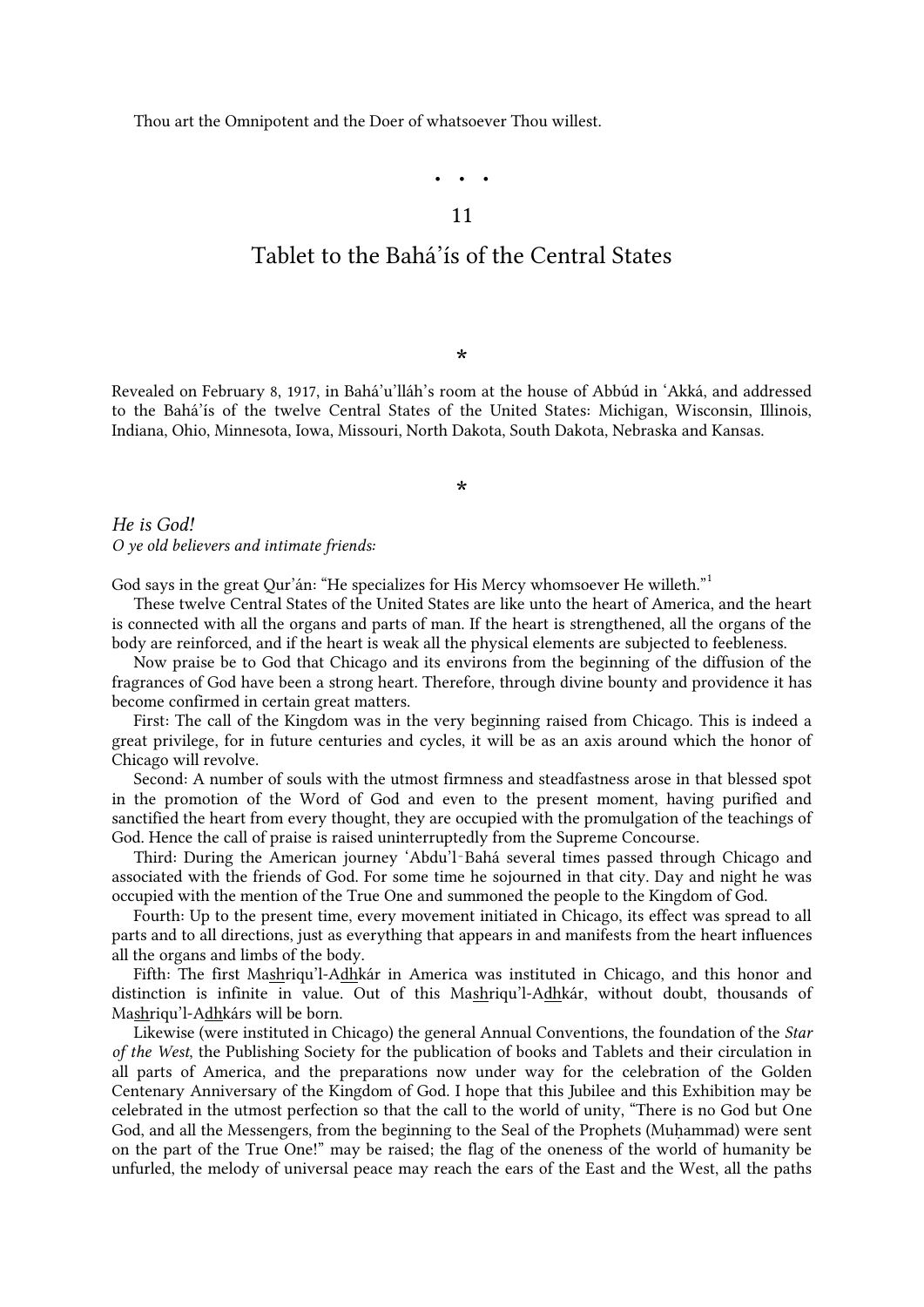<span id="page-17-0"></span>Thou art the Omnipotent and the Doer of whatsoever Thou willest.

# • • •

#### 11

## Tablet to the Bahá'ís of the Central States

\*

Revealed on February 8, 1917, in Bahá'u'lláh's room at the house of Abbúd in 'Akká, and addressed to the Bahá'ís of the twelve Central States of the United States: Michigan, Wisconsin, Illinois, Indiana, Ohio, Minnesota, Iowa, Missouri, North Dakota, South Dakota, Nebraska and Kansas.

\*

*He is God! O ye old believers and intimate friends:*

<span id="page-17-1"></span>God says in the great Qur'án: "He specializes for His Mercy whomsoever He willeth.["](#page-25-16)<sup>1</sup>

These twelve Central States of the United States are like unto the heart of America, and the heart is connected with all the organs and parts of man. If the heart is strengthened, all the organs of the body are reinforced, and if the heart is weak all the physical elements are subjected to feebleness.

Now praise be to God that Chicago and its environs from the beginning of the diffusion of the fragrances of God have been a strong heart. Therefore, through divine bounty and providence it has become confirmed in certain great matters.

First: The call of the Kingdom was in the very beginning raised from Chicago. This is indeed a great privilege, for in future centuries and cycles, it will be as an axis around which the honor of Chicago will revolve.

Second: A number of souls with the utmost firmness and steadfastness arose in that blessed spot in the promotion of the Word of God and even to the present moment, having purified and sanctified the heart from every thought, they are occupied with the promulgation of the teachings of God. Hence the call of praise is raised uninterruptedly from the Supreme Concourse.

Third: During the American journey 'Abdu'l‑Bahá several times passed through Chicago and associated with the friends of God. For some time he sojourned in that city. Day and night he was occupied with the mention of the True One and summoned the people to the Kingdom of God.

Fourth: Up to the present time, every movement initiated in Chicago, its effect was spread to all parts and to all directions, just as everything that appears in and manifests from the heart influences all the organs and limbs of the body.

Fifth: The first Mashriqu'l-Adhkár in America was instituted in Chicago, and this honor and distinction is infinite in value. Out of this Mashriqu'l-Adhkár, without doubt, thousands of Mashriqu'l-Adhkárs will be born.

Likewise (were instituted in Chicago) the general Annual Conventions, the foundation of the *Star of the West*, the Publishing Society for the publication of books and Tablets and their circulation in all parts of America, and the preparations now under way for the celebration of the Golden Centenary Anniversary of the Kingdom of God. I hope that this Jubilee and this Exhibition may be celebrated in the utmost perfection so that the call to the world of unity, "There is no God but One God, and all the Messengers, from the beginning to the Seal of the Prophets (Muhammad) were sent on the part of the True One!" may be raised; the flag of the oneness of the world of humanity be unfurled, the melody of universal peace may reach the ears of the East and the West, all the paths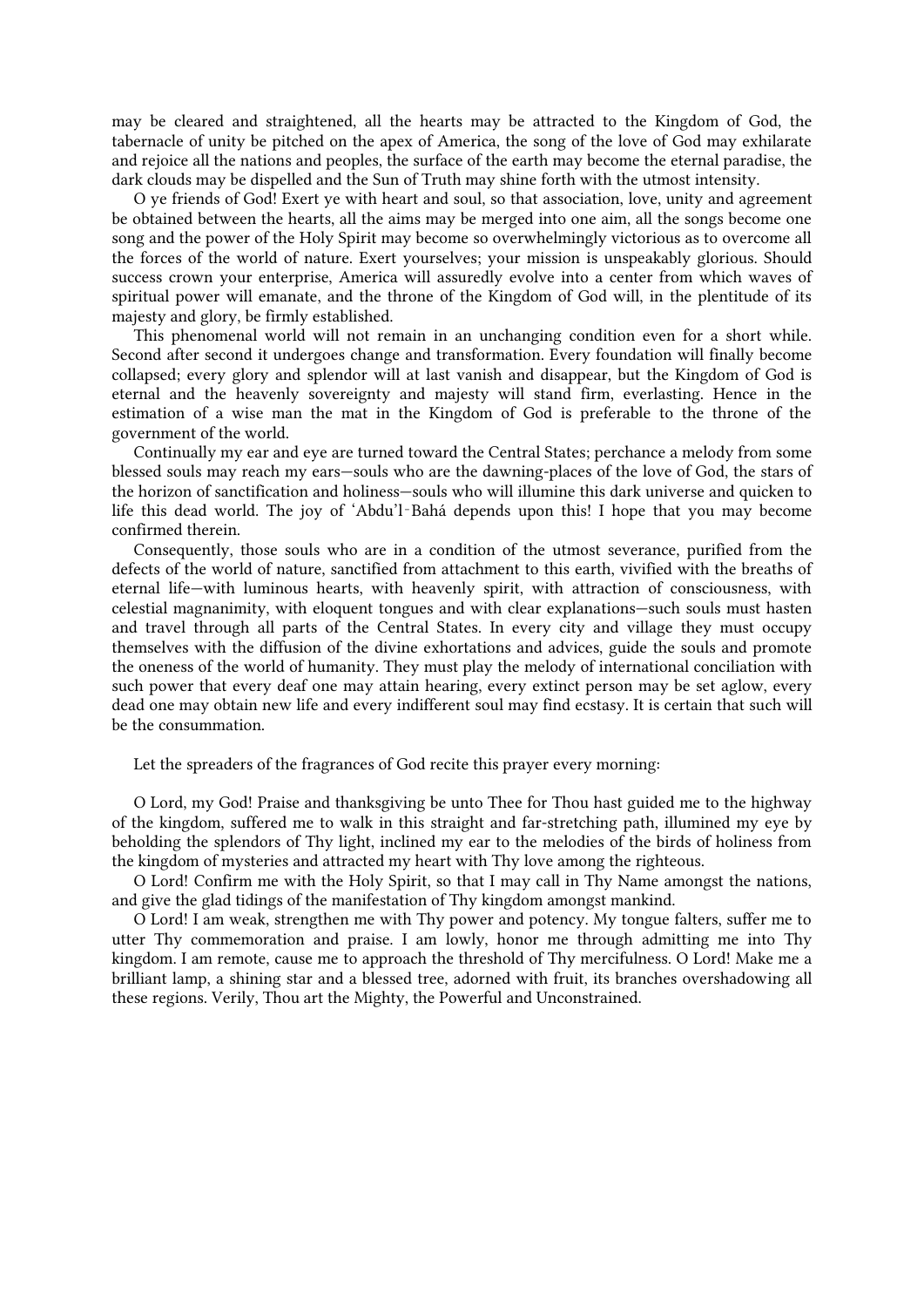may be cleared and straightened, all the hearts may be attracted to the Kingdom of God, the tabernacle of unity be pitched on the apex of America, the song of the love of God may exhilarate and rejoice all the nations and peoples, the surface of the earth may become the eternal paradise, the dark clouds may be dispelled and the Sun of Truth may shine forth with the utmost intensity.

O ye friends of God! Exert ye with heart and soul, so that association, love, unity and agreement be obtained between the hearts, all the aims may be merged into one aim, all the songs become one song and the power of the Holy Spirit may become so overwhelmingly victorious as to overcome all the forces of the world of nature. Exert yourselves; your mission is unspeakably glorious. Should success crown your enterprise, America will assuredly evolve into a center from which waves of spiritual power will emanate, and the throne of the Kingdom of God will, in the plentitude of its majesty and glory, be firmly established.

This phenomenal world will not remain in an unchanging condition even for a short while. Second after second it undergoes change and transformation. Every foundation will finally become collapsed; every glory and splendor will at last vanish and disappear, but the Kingdom of God is eternal and the heavenly sovereignty and majesty will stand firm, everlasting. Hence in the estimation of a wise man the mat in the Kingdom of God is preferable to the throne of the government of the world.

Continually my ear and eye are turned toward the Central States; perchance a melody from some blessed souls may reach my ears—souls who are the dawning-places of the love of God, the stars of the horizon of sanctification and holiness—souls who will illumine this dark universe and quicken to life this dead world. The joy of 'Abdu'l‑Bahá depends upon this! I hope that you may become confirmed therein.

Consequently, those souls who are in a condition of the utmost severance, purified from the defects of the world of nature, sanctified from attachment to this earth, vivified with the breaths of eternal life—with luminous hearts, with heavenly spirit, with attraction of consciousness, with celestial magnanimity, with eloquent tongues and with clear explanations—such souls must hasten and travel through all parts of the Central States. In every city and village they must occupy themselves with the diffusion of the divine exhortations and advices, guide the souls and promote the oneness of the world of humanity. They must play the melody of international conciliation with such power that every deaf one may attain hearing, every extinct person may be set aglow, every dead one may obtain new life and every indifferent soul may find ecstasy. It is certain that such will be the consummation.

Let the spreaders of the fragrances of God recite this prayer every morning:

O Lord, my God! Praise and thanksgiving be unto Thee for Thou hast guided me to the highway of the kingdom, suffered me to walk in this straight and far-stretching path, illumined my eye by beholding the splendors of Thy light, inclined my ear to the melodies of the birds of holiness from the kingdom of mysteries and attracted my heart with Thy love among the righteous.

O Lord! Confirm me with the Holy Spirit, so that I may call in Thy Name amongst the nations, and give the glad tidings of the manifestation of Thy kingdom amongst mankind.

O Lord! I am weak, strengthen me with Thy power and potency. My tongue falters, suffer me to utter Thy commemoration and praise. I am lowly, honor me through admitting me into Thy kingdom. I am remote, cause me to approach the threshold of Thy mercifulness. O Lord! Make me a brilliant lamp, a shining star and a blessed tree, adorned with fruit, its branches overshadowing all these regions. Verily, Thou art the Mighty, the Powerful and Unconstrained.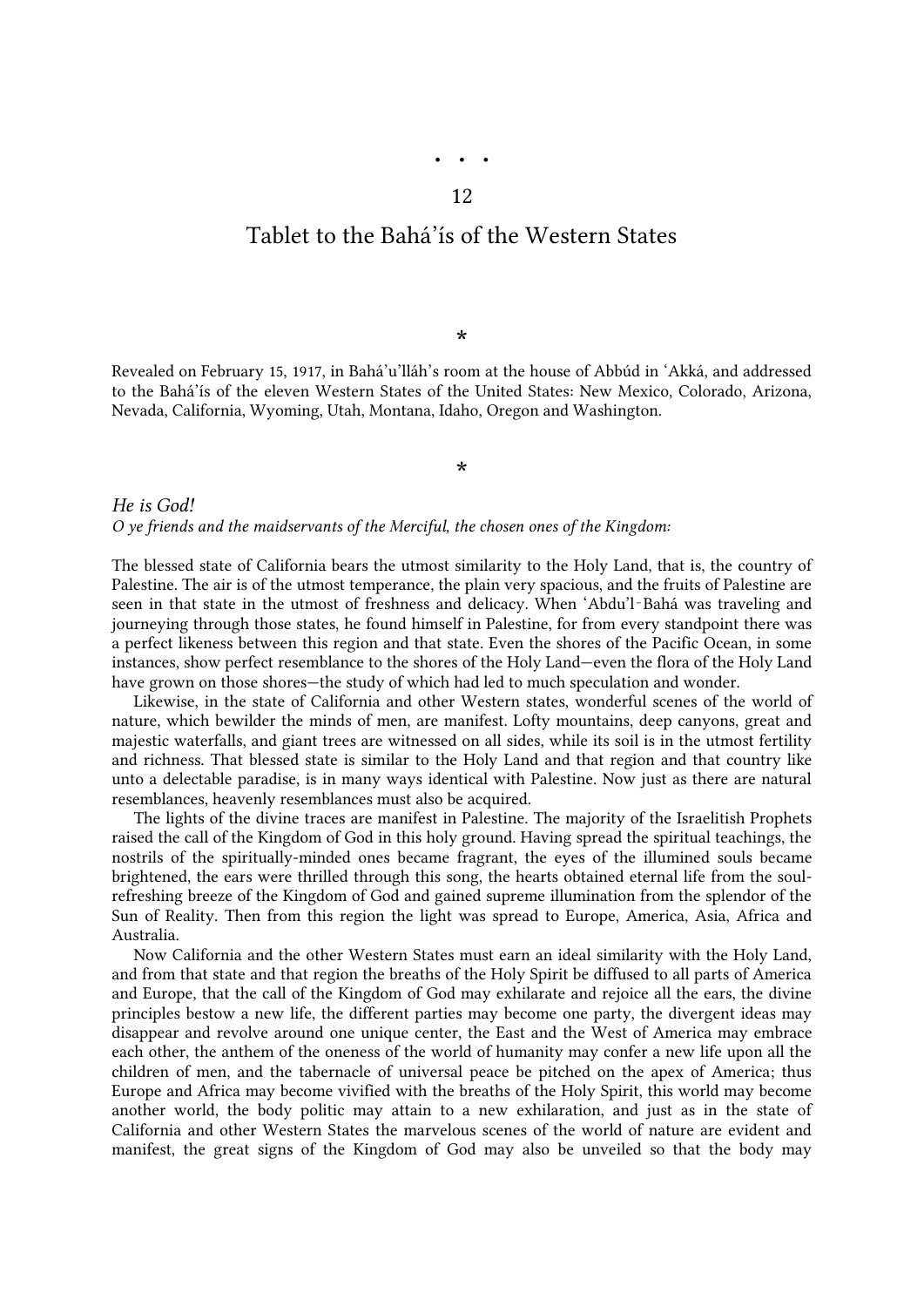## <span id="page-19-0"></span>Tablet to the Bahá'ís of the Western States

\*

Revealed on February 15, 1917, in Bahá'u'lláh's room at the house of Abbúd in 'Akká, and addressed to the Bahá'ís of the eleven Western States of the United States: New Mexico, Colorado, Arizona, Nevada, California, Wyoming, Utah, Montana, Idaho, Oregon and Washington.

\*

*He is God! O ye friends and the maidservants of the Merciful, the chosen ones of the Kingdom:*

The blessed state of California bears the utmost similarity to the Holy Land, that is, the country of Palestine. The air is of the utmost temperance, the plain very spacious, and the fruits of Palestine are seen in that state in the utmost of freshness and delicacy. When 'Abdu'l‑Bahá was traveling and journeying through those states, he found himself in Palestine, for from every standpoint there was a perfect likeness between this region and that state. Even the shores of the Pacific Ocean, in some instances, show perfect resemblance to the shores of the Holy Land—even the flora of the Holy Land have grown on those shores—the study of which had led to much speculation and wonder.

Likewise, in the state of California and other Western states, wonderful scenes of the world of nature, which bewilder the minds of men, are manifest. Lofty mountains, deep canyons, great and majestic waterfalls, and giant trees are witnessed on all sides, while its soil is in the utmost fertility and richness. That blessed state is similar to the Holy Land and that region and that country like unto a delectable paradise, is in many ways identical with Palestine. Now just as there are natural resemblances, heavenly resemblances must also be acquired.

The lights of the divine traces are manifest in Palestine. The majority of the Israelitish Prophets raised the call of the Kingdom of God in this holy ground. Having spread the spiritual teachings, the nostrils of the spiritually-minded ones became fragrant, the eyes of the illumined souls became brightened, the ears were thrilled through this song, the hearts obtained eternal life from the soulrefreshing breeze of the Kingdom of God and gained supreme illumination from the splendor of the Sun of Reality. Then from this region the light was spread to Europe, America, Asia, Africa and Australia.

Now California and the other Western States must earn an ideal similarity with the Holy Land, and from that state and that region the breaths of the Holy Spirit be diffused to all parts of America and Europe, that the call of the Kingdom of God may exhilarate and rejoice all the ears, the divine principles bestow a new life, the different parties may become one party, the divergent ideas may disappear and revolve around one unique center, the East and the West of America may embrace each other, the anthem of the oneness of the world of humanity may confer a new life upon all the children of men, and the tabernacle of universal peace be pitched on the apex of America; thus Europe and Africa may become vivified with the breaths of the Holy Spirit, this world may become another world, the body politic may attain to a new exhilaration, and just as in the state of California and other Western States the marvelous scenes of the world of nature are evident and manifest, the great signs of the Kingdom of God may also be unveiled so that the body may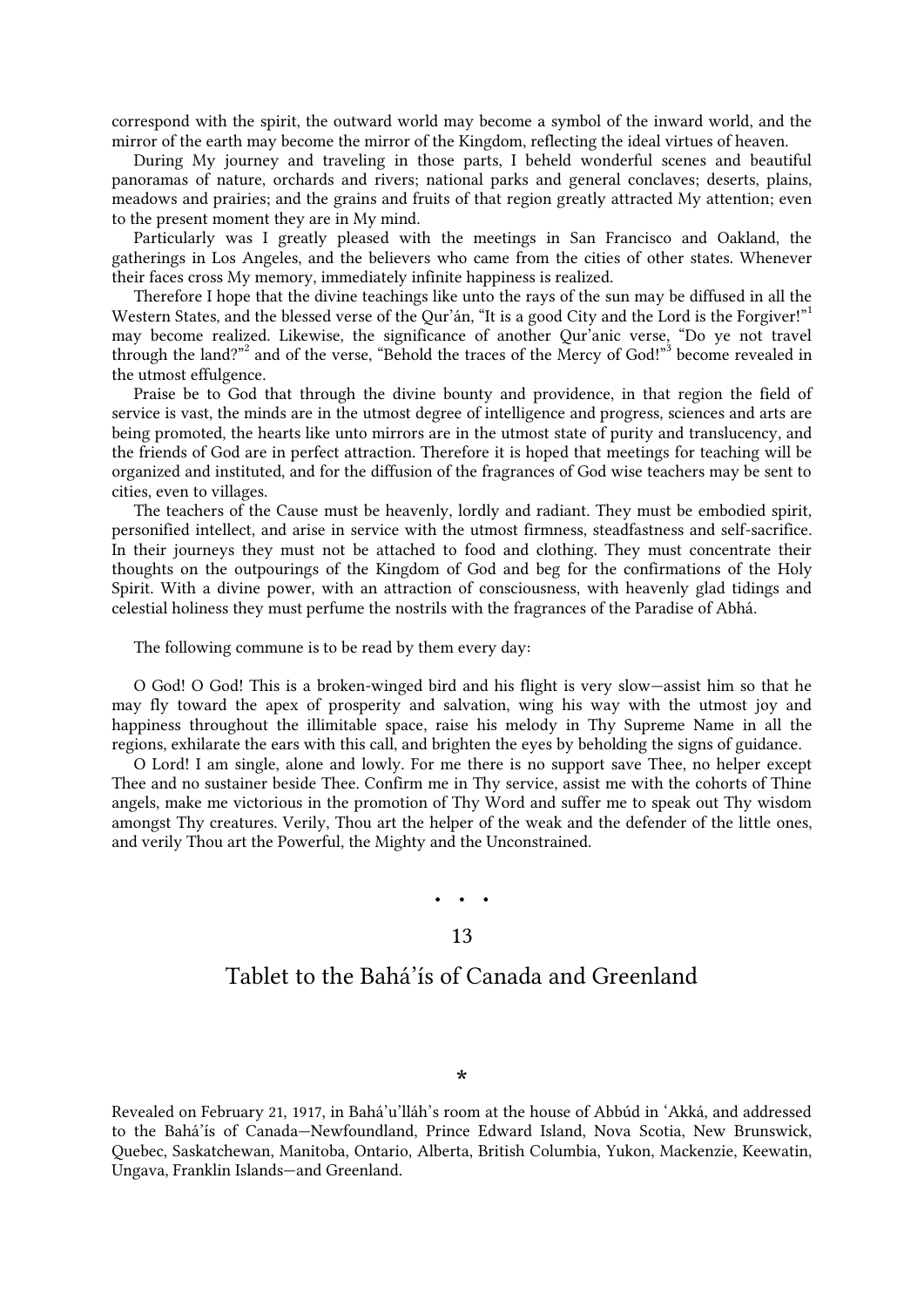correspond with the spirit, the outward world may become a symbol of the inward world, and the mirror of the earth may become the mirror of the Kingdom, reflecting the ideal virtues of heaven.

During My journey and traveling in those parts, I beheld wonderful scenes and beautiful panoramas of nature, orchards and rivers; national parks and general conclaves; deserts, plains, meadows and prairies; and the grains and fruits of that region greatly attracted My attention; even to the present moment they are in My mind.

Particularly was I greatly pleased with the meetings in San Francisco and Oakland, the gatherings in Los Angeles, and the believers who came from the cities of other states. Whenever their faces cross My memory, immediately infinite happiness is realized.

<span id="page-20-1"></span>Therefore I hope that the divine teachings like unto the rays of the sun may be diffused in all the Western States, and the blessed verse of the Qur'án, ["](#page-25-17)It is a good City and the Lord is the Forgiver!" may become realized. Likewise, the significance of another Qur'anic verse, "Do ye not travel through the land?["](#page-25-19)<sup>2</sup> and of the verse, "Behold the traces of the Mercy of God!"<sup>3</sup> become revealed in the utmost effulgence.

Praise be to God that through the divine bounty and providence, in that region the field of service is vast, the minds are in the utmost degree of intelligence and progress, sciences and arts are being promoted, the hearts like unto mirrors are in the utmost state of purity and translucency, and the friends of God are in perfect attraction. Therefore it is hoped that meetings for teaching will be organized and instituted, and for the diffusion of the fragrances of God wise teachers may be sent to cities, even to villages.

The teachers of the Cause must be heavenly, lordly and radiant. They must be embodied spirit, personified intellect, and arise in service with the utmost firmness, steadfastness and self-sacrifice. In their journeys they must not be attached to food and clothing. They must concentrate their thoughts on the outpourings of the Kingdom of God and beg for the confirmations of the Holy Spirit. With a divine power, with an attraction of consciousness, with heavenly glad tidings and celestial holiness they must perfume the nostrils with the fragrances of the Paradise of Abhá.

The following commune is to be read by them every day:

O God! O God! This is a broken-winged bird and his flight is very slow—assist him so that he may fly toward the apex of prosperity and salvation, wing his way with the utmost joy and happiness throughout the illimitable space, raise his melody in Thy Supreme Name in all the regions, exhilarate the ears with this call, and brighten the eyes by beholding the signs of guidance.

<span id="page-20-0"></span>O Lord! I am single, alone and lowly. For me there is no support save Thee, no helper except Thee and no sustainer beside Thee. Confirm me in Thy service, assist me with the cohorts of Thine angels, make me victorious in the promotion of Thy Word and suffer me to speak out Thy wisdom amongst Thy creatures. Verily, Thou art the helper of the weak and the defender of the little ones, and verily Thou art the Powerful, the Mighty and the Unconstrained.

### • • •

#### 13

### Tablet to the Bahá'ís of Canada and Greenland

Revealed on February 21, 1917, in Bahá'u'lláh's room at the house of Abbúd in 'Akká, and addressed to the Bahá'ís of Canada—Newfoundland, Prince Edward Island, Nova Scotia, New Brunswick, Quebec, Saskatchewan, Manitoba, Ontario, Alberta, British Columbia, Yukon, Mackenzie, Keewatin, Ungava, Franklin Islands—and Greenland.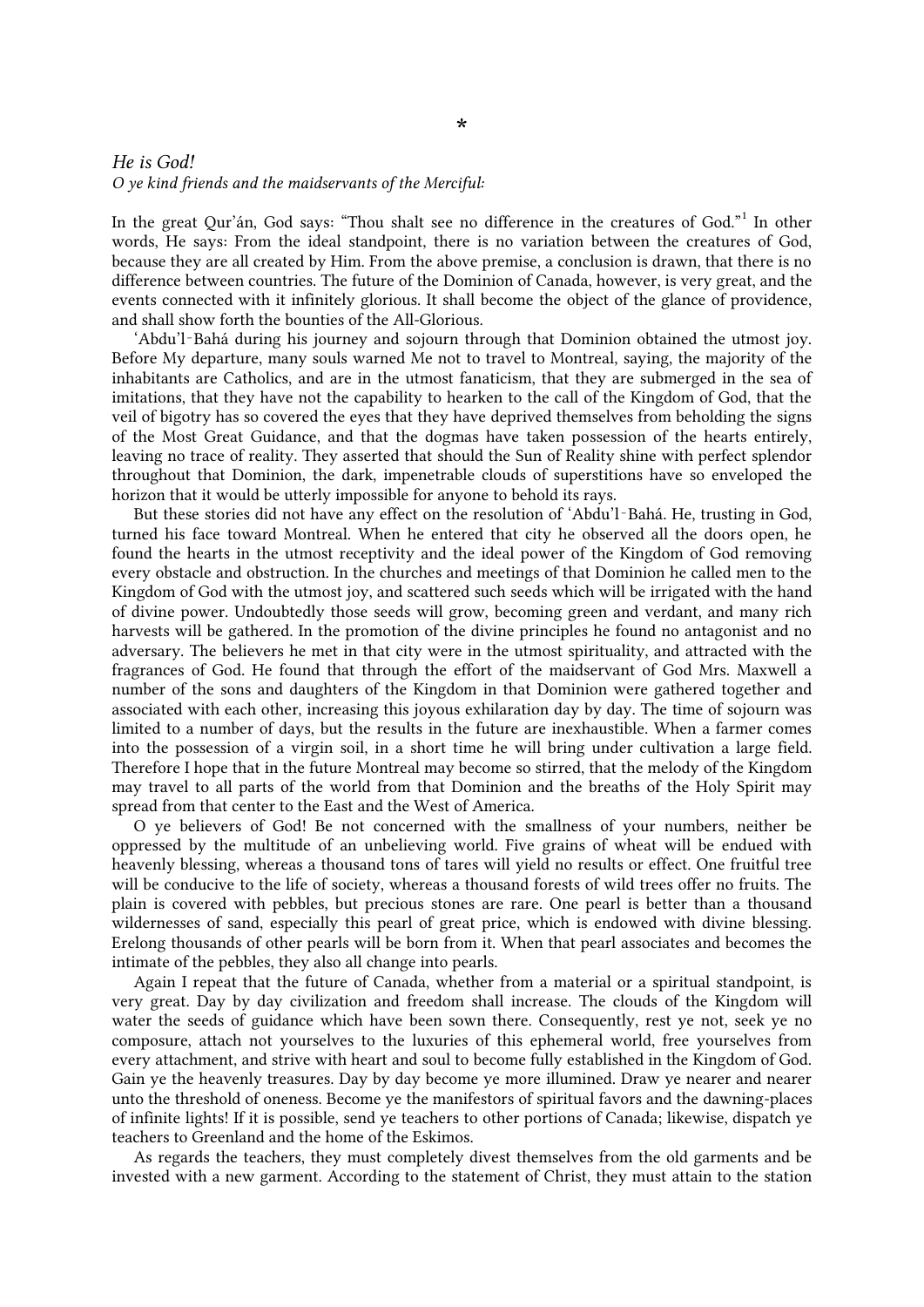#### *He is God! O ye kind friends and the maidservants of the Merciful:*

<span id="page-21-0"></span>In the great Qur'án, God says: "Thou shalt see no difference in the creatures of God."<sup>[1](#page-26-0)</sup> In other words, He says: From the ideal standpoint, there is no variation between the creatures of God, because they are all created by Him. From the above premise, a conclusion is drawn, that there is no difference between countries. The future of the Dominion of Canada, however, is very great, and the events connected with it infinitely glorious. It shall become the object of the glance of providence, and shall show forth the bounties of the All-Glorious.

'Abdu'l‑Bahá during his journey and sojourn through that Dominion obtained the utmost joy. Before My departure, many souls warned Me not to travel to Montreal, saying, the majority of the inhabitants are Catholics, and are in the utmost fanaticism, that they are submerged in the sea of imitations, that they have not the capability to hearken to the call of the Kingdom of God, that the veil of bigotry has so covered the eyes that they have deprived themselves from beholding the signs of the Most Great Guidance, and that the dogmas have taken possession of the hearts entirely, leaving no trace of reality. They asserted that should the Sun of Reality shine with perfect splendor throughout that Dominion, the dark, impenetrable clouds of superstitions have so enveloped the horizon that it would be utterly impossible for anyone to behold its rays.

But these stories did not have any effect on the resolution of 'Abdu'l‑Bahá. He, trusting in God, turned his face toward Montreal. When he entered that city he observed all the doors open, he found the hearts in the utmost receptivity and the ideal power of the Kingdom of God removing every obstacle and obstruction. In the churches and meetings of that Dominion he called men to the Kingdom of God with the utmost joy, and scattered such seeds which will be irrigated with the hand of divine power. Undoubtedly those seeds will grow, becoming green and verdant, and many rich harvests will be gathered. In the promotion of the divine principles he found no antagonist and no adversary. The believers he met in that city were in the utmost spirituality, and attracted with the fragrances of God. He found that through the effort of the maidservant of God Mrs. Maxwell a number of the sons and daughters of the Kingdom in that Dominion were gathered together and associated with each other, increasing this joyous exhilaration day by day. The time of sojourn was limited to a number of days, but the results in the future are inexhaustible. When a farmer comes into the possession of a virgin soil, in a short time he will bring under cultivation a large field. Therefore I hope that in the future Montreal may become so stirred, that the melody of the Kingdom may travel to all parts of the world from that Dominion and the breaths of the Holy Spirit may spread from that center to the East and the West of America.

O ye believers of God! Be not concerned with the smallness of your numbers, neither be oppressed by the multitude of an unbelieving world. Five grains of wheat will be endued with heavenly blessing, whereas a thousand tons of tares will yield no results or effect. One fruitful tree will be conducive to the life of society, whereas a thousand forests of wild trees offer no fruits. The plain is covered with pebbles, but precious stones are rare. One pearl is better than a thousand wildernesses of sand, especially this pearl of great price, which is endowed with divine blessing. Erelong thousands of other pearls will be born from it. When that pearl associates and becomes the intimate of the pebbles, they also all change into pearls.

Again I repeat that the future of Canada, whether from a material or a spiritual standpoint, is very great. Day by day civilization and freedom shall increase. The clouds of the Kingdom will water the seeds of guidance which have been sown there. Consequently, rest ye not, seek ye no composure, attach not yourselves to the luxuries of this ephemeral world, free yourselves from every attachment, and strive with heart and soul to become fully established in the Kingdom of God. Gain ye the heavenly treasures. Day by day become ye more illumined. Draw ye nearer and nearer unto the threshold of oneness. Become ye the manifestors of spiritual favors and the dawning-places of infinite lights! If it is possible, send ye teachers to other portions of Canada; likewise, dispatch ye teachers to Greenland and the home of the Eskimos.

As regards the teachers, they must completely divest themselves from the old garments and be invested with a new garment. According to the statement of Christ, they must attain to the station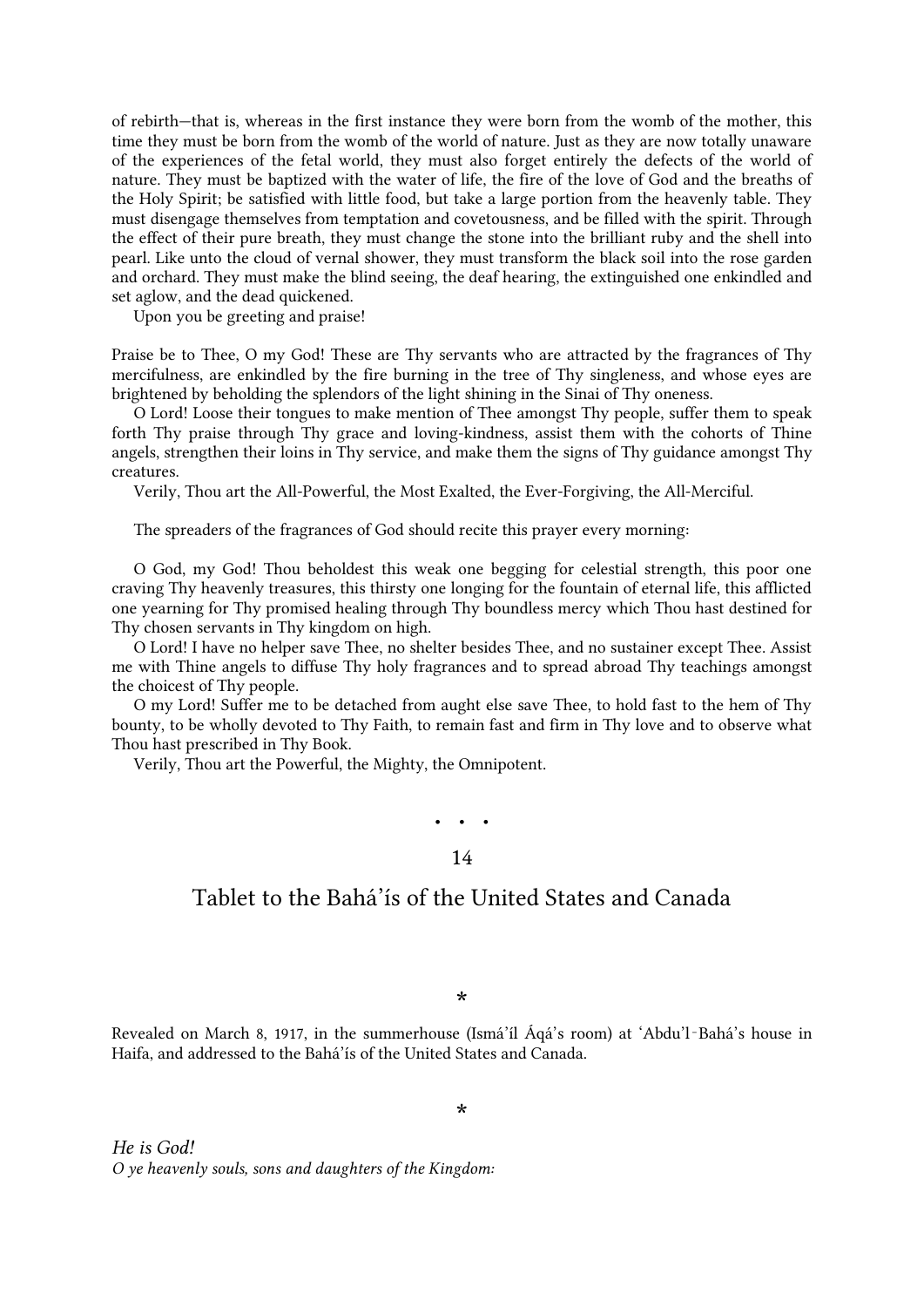of rebirth—that is, whereas in the first instance they were born from the womb of the mother, this time they must be born from the womb of the world of nature. Just as they are now totally unaware of the experiences of the fetal world, they must also forget entirely the defects of the world of nature. They must be baptized with the water of life, the fire of the love of God and the breaths of the Holy Spirit; be satisfied with little food, but take a large portion from the heavenly table. They must disengage themselves from temptation and covetousness, and be filled with the spirit. Through the effect of their pure breath, they must change the stone into the brilliant ruby and the shell into pearl. Like unto the cloud of vernal shower, they must transform the black soil into the rose garden and orchard. They must make the blind seeing, the deaf hearing, the extinguished one enkindled and set aglow, and the dead quickened.

Upon you be greeting and praise!

Praise be to Thee, O my God! These are Thy servants who are attracted by the fragrances of Thy mercifulness, are enkindled by the fire burning in the tree of Thy singleness, and whose eyes are brightened by beholding the splendors of the light shining in the Sinai of Thy oneness.

O Lord! Loose their tongues to make mention of Thee amongst Thy people, suffer them to speak forth Thy praise through Thy grace and loving-kindness, assist them with the cohorts of Thine angels, strengthen their loins in Thy service, and make them the signs of Thy guidance amongst Thy creatures.

Verily, Thou art the All-Powerful, the Most Exalted, the Ever-Forgiving, the All-Merciful.

The spreaders of the fragrances of God should recite this prayer every morning:

O God, my God! Thou beholdest this weak one begging for celestial strength, this poor one craving Thy heavenly treasures, this thirsty one longing for the fountain of eternal life, this afflicted one yearning for Thy promised healing through Thy boundless mercy which Thou hast destined for Thy chosen servants in Thy kingdom on high.

O Lord! I have no helper save Thee, no shelter besides Thee, and no sustainer except Thee. Assist me with Thine angels to diffuse Thy holy fragrances and to spread abroad Thy teachings amongst the choicest of Thy people.

O my Lord! Suffer me to be detached from aught else save Thee, to hold fast to the hem of Thy bounty, to be wholly devoted to Thy Faith, to remain fast and firm in Thy love and to observe what Thou hast prescribed in Thy Book.

<span id="page-22-0"></span>Verily, Thou art the Powerful, the Mighty, the Omnipotent.

• • • 14

### Tablet to the Bahá'ís of the United States and Canada

\*

Revealed on March 8, 1917, in the summerhouse (Ismá'íl Áqá's room) at 'Abdu'l‑Bahá's house in Haifa, and addressed to the Bahá'ís of the United States and Canada.

*He is God! O ye heavenly souls, sons and daughters of the Kingdom:*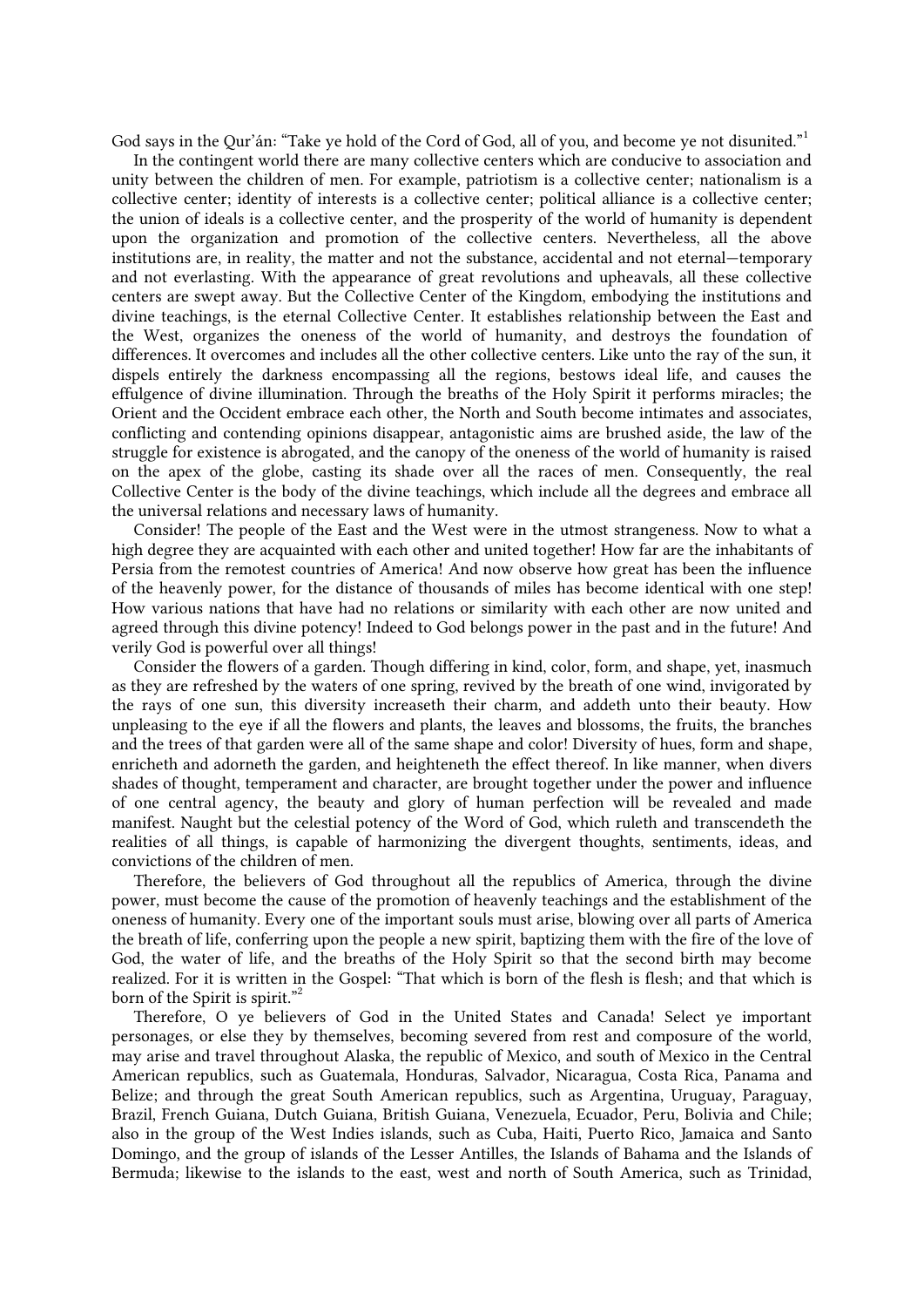<span id="page-23-0"></span>God says in the Qur'án: ["](#page-26-1)Take ye hold of the Cord of God, all of you, and become ye not disunited."

In the contingent world there are many collective centers which are conducive to association and unity between the children of men. For example, patriotism is a collective center; nationalism is a collective center; identity of interests is a collective center; political alliance is a collective center; the union of ideals is a collective center, and the prosperity of the world of humanity is dependent upon the organization and promotion of the collective centers. Nevertheless, all the above institutions are, in reality, the matter and not the substance, accidental and not eternal—temporary and not everlasting. With the appearance of great revolutions and upheavals, all these collective centers are swept away. But the Collective Center of the Kingdom, embodying the institutions and divine teachings, is the eternal Collective Center. It establishes relationship between the East and the West, organizes the oneness of the world of humanity, and destroys the foundation of differences. It overcomes and includes all the other collective centers. Like unto the ray of the sun, it dispels entirely the darkness encompassing all the regions, bestows ideal life, and causes the effulgence of divine illumination. Through the breaths of the Holy Spirit it performs miracles; the Orient and the Occident embrace each other, the North and South become intimates and associates, conflicting and contending opinions disappear, antagonistic aims are brushed aside, the law of the struggle for existence is abrogated, and the canopy of the oneness of the world of humanity is raised on the apex of the globe, casting its shade over all the races of men. Consequently, the real Collective Center is the body of the divine teachings, which include all the degrees and embrace all the universal relations and necessary laws of humanity.

Consider! The people of the East and the West were in the utmost strangeness. Now to what a high degree they are acquainted with each other and united together! How far are the inhabitants of Persia from the remotest countries of America! And now observe how great has been the influence of the heavenly power, for the distance of thousands of miles has become identical with one step! How various nations that have had no relations or similarity with each other are now united and agreed through this divine potency! Indeed to God belongs power in the past and in the future! And verily God is powerful over all things!

Consider the flowers of a garden. Though differing in kind, color, form, and shape, yet, inasmuch as they are refreshed by the waters of one spring, revived by the breath of one wind, invigorated by the rays of one sun, this diversity increaseth their charm, and addeth unto their beauty. How unpleasing to the eye if all the flowers and plants, the leaves and blossoms, the fruits, the branches and the trees of that garden were all of the same shape and color! Diversity of hues, form and shape, enricheth and adorneth the garden, and heighteneth the effect thereof. In like manner, when divers shades of thought, temperament and character, are brought together under the power and influence of one central agency, the beauty and glory of human perfection will be revealed and made manifest. Naught but the celestial potency of the Word of God, which ruleth and transcendeth the realities of all things, is capable of harmonizing the divergent thoughts, sentiments, ideas, and convictions of the children of men.

<span id="page-23-1"></span>Therefore, the believers of God throughout all the republics of America, through the divine power, must become the cause of the promotion of heavenly teachings and the establishment of the oneness of humanity. Every one of the important souls must arise, blowing over all parts of America the breath of life, conferring upon the people a new spirit, baptizing them with the fire of the love of God, the water of life, and the breaths of the Holy Spirit so that the second birth may become realized. For it is written in the Gospel: "That which is born of the flesh is flesh; and that which is born of the Spirit is spirit.["](#page-26-2)

Therefore, O ye believers of God in the United States and Canada! Select ye important personages, or else they by themselves, becoming severed from rest and composure of the world, may arise and travel throughout Alaska, the republic of Mexico, and south of Mexico in the Central American republics, such as Guatemala, Honduras, Salvador, Nicaragua, Costa Rica, Panama and Belize; and through the great South American republics, such as Argentina, Uruguay, Paraguay, Brazil, French Guiana, Dutch Guiana, British Guiana, Venezuela, Ecuador, Peru, Bolivia and Chile; also in the group of the West Indies islands, such as Cuba, Haiti, Puerto Rico, Jamaica and Santo Domingo, and the group of islands of the Lesser Antilles, the Islands of Bahama and the Islands of Bermuda; likewise to the islands to the east, west and north of South America, such as Trinidad,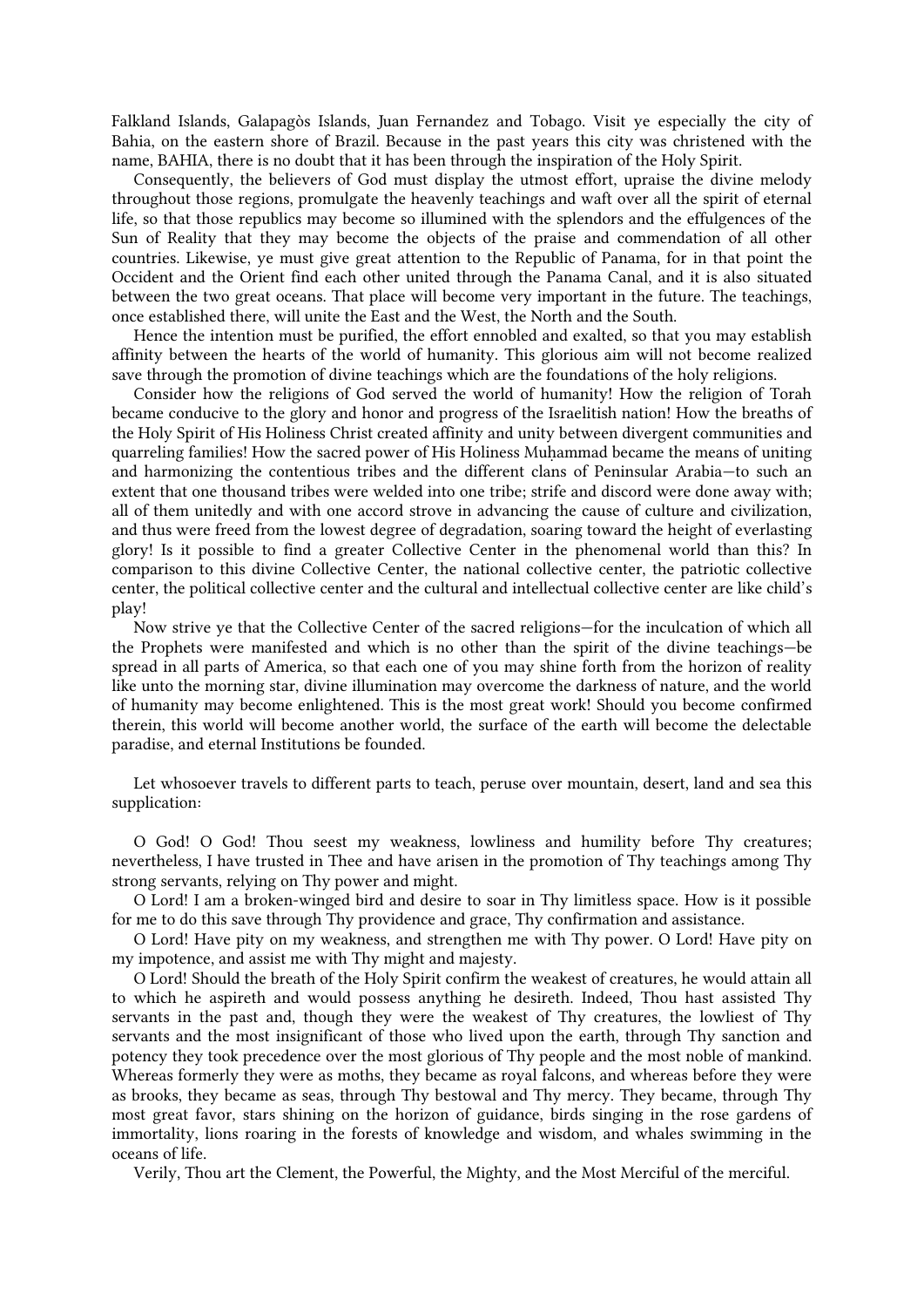Falkland Islands, Galapagòs Islands, Juan Fernandez and Tobago. Visit ye especially the city of Bahia, on the eastern shore of Brazil. Because in the past years this city was christened with the name, BAHIA, there is no doubt that it has been through the inspiration of the Holy Spirit.

Consequently, the believers of God must display the utmost effort, upraise the divine melody throughout those regions, promulgate the heavenly teachings and waft over all the spirit of eternal life, so that those republics may become so illumined with the splendors and the effulgences of the Sun of Reality that they may become the objects of the praise and commendation of all other countries. Likewise, ye must give great attention to the Republic of Panama, for in that point the Occident and the Orient find each other united through the Panama Canal, and it is also situated between the two great oceans. That place will become very important in the future. The teachings, once established there, will unite the East and the West, the North and the South.

Hence the intention must be purified, the effort ennobled and exalted, so that you may establish affinity between the hearts of the world of humanity. This glorious aim will not become realized save through the promotion of divine teachings which are the foundations of the holy religions.

Consider how the religions of God served the world of humanity! How the religion of Torah became conducive to the glory and honor and progress of the Israelitish nation! How the breaths of the Holy Spirit of His Holiness Christ created affinity and unity between divergent communities and quarreling families! How the sacred power of His Holiness Muḥammad became the means of uniting and harmonizing the contentious tribes and the different clans of Peninsular Arabia—to such an extent that one thousand tribes were welded into one tribe; strife and discord were done away with; all of them unitedly and with one accord strove in advancing the cause of culture and civilization, and thus were freed from the lowest degree of degradation, soaring toward the height of everlasting glory! Is it possible to find a greater Collective Center in the phenomenal world than this? In comparison to this divine Collective Center, the national collective center, the patriotic collective center, the political collective center and the cultural and intellectual collective center are like child's play!

Now strive ye that the Collective Center of the sacred religions—for the inculcation of which all the Prophets were manifested and which is no other than the spirit of the divine teachings—be spread in all parts of America, so that each one of you may shine forth from the horizon of reality like unto the morning star, divine illumination may overcome the darkness of nature, and the world of humanity may become enlightened. This is the most great work! Should you become confirmed therein, this world will become another world, the surface of the earth will become the delectable paradise, and eternal Institutions be founded.

Let whosoever travels to different parts to teach, peruse over mountain, desert, land and sea this supplication:

O God! O God! Thou seest my weakness, lowliness and humility before Thy creatures; nevertheless, I have trusted in Thee and have arisen in the promotion of Thy teachings among Thy strong servants, relying on Thy power and might.

O Lord! I am a broken-winged bird and desire to soar in Thy limitless space. How is it possible for me to do this save through Thy providence and grace, Thy confirmation and assistance.

O Lord! Have pity on my weakness, and strengthen me with Thy power. O Lord! Have pity on my impotence, and assist me with Thy might and majesty.

O Lord! Should the breath of the Holy Spirit confirm the weakest of creatures, he would attain all to which he aspireth and would possess anything he desireth. Indeed, Thou hast assisted Thy servants in the past and, though they were the weakest of Thy creatures, the lowliest of Thy servants and the most insignificant of those who lived upon the earth, through Thy sanction and potency they took precedence over the most glorious of Thy people and the most noble of mankind. Whereas formerly they were as moths, they became as royal falcons, and whereas before they were as brooks, they became as seas, through Thy bestowal and Thy mercy. They became, through Thy most great favor, stars shining on the horizon of guidance, birds singing in the rose gardens of immortality, lions roaring in the forests of knowledge and wisdom, and whales swimming in the oceans of life.

Verily, Thou art the Clement, the Powerful, the Mighty, and the Most Merciful of the merciful.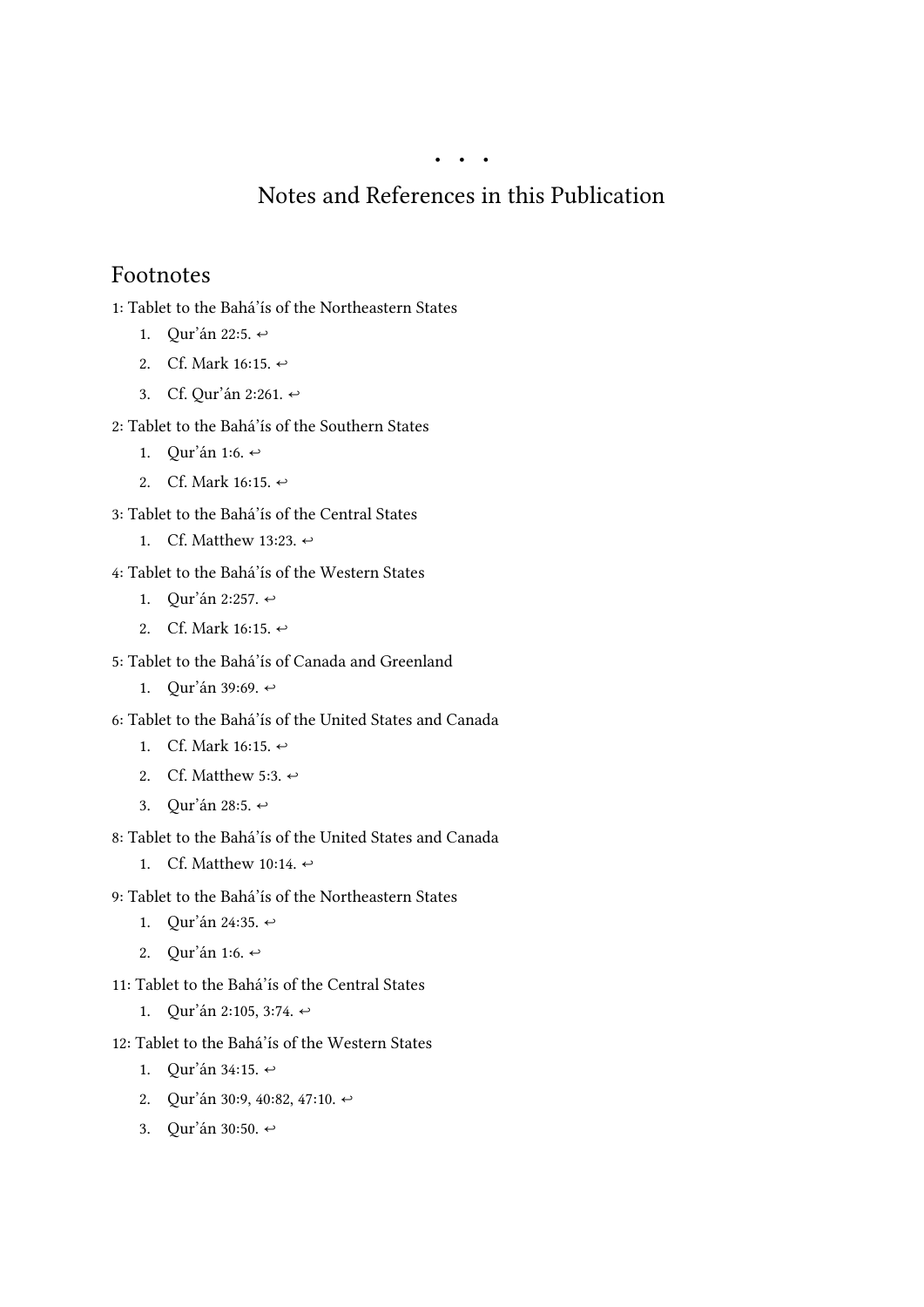# Notes and References in this Publication

### <span id="page-25-0"></span>Footnotes

<span id="page-25-1"></span>1: Tablet to the Bahá'ís of the Northeastern States

- 1. Qur'án 22:5.  $\leftrightarrow$
- <span id="page-25-2"></span>2. Cf. Mark 16:15.  $\leftrightarrow$
- <span id="page-25-3"></span>3. Cf. Qur'án 2:261.  $\leftrightarrow$
- <span id="page-25-4"></span>2: Tablet to the Bahá'ís of the Southern States
	- 1. Qur'án 1:6.  $\leftrightarrow$
	- 2. Cf. Mark 16:15.  $\leftrightarrow$

<span id="page-25-6"></span><span id="page-25-5"></span>3: Tablet to the Bahá'ís of the Central States

- 1. Cf. Matthew 13:23.  $\leftrightarrow$
- <span id="page-25-7"></span>4: Tablet to the Bahá'ís of the Western States
	- 1. Qur'án 2:257.  $\leftrightarrow$
	- 2. Cf. Mark 16:15.  $\leftrightarrow$
- <span id="page-25-9"></span><span id="page-25-8"></span>5: Tablet to the Bahá'ís of Canada and Greenland
	- 1. Qur'án 39:69. [↩](#page-4-3)

<span id="page-25-10"></span>6: Tablet to the Bahá'ís of the United States and Canada

- 1. Cf. Mark 16:15.  $\leftrightarrow$
- <span id="page-25-11"></span>2. Cf. Matthew 5:3.  $\leftrightarrow$
- <span id="page-25-12"></span>3. Qur'án 28:5. [↩](#page-6-0)
- <span id="page-25-13"></span>8: Tablet to the Bahá'ís of the United States and Canada
	- 1. Cf. Matthew 10:14.  $\leftrightarrow$
- <span id="page-25-14"></span>9: Tablet to the Bahá'ís of the Northeastern States
	- 1. Qur'án 24:35. [↩](#page-14-0)
	- 2. Qur'án 1:6.  $\leftrightarrow$
- <span id="page-25-16"></span><span id="page-25-15"></span>11: Tablet to the Bahá'ís of the Central States
	- 1. Qur'án 2:105, 3:74.  $\leftrightarrow$
- <span id="page-25-19"></span><span id="page-25-18"></span><span id="page-25-17"></span>12: Tablet to the Bahá'ís of the Western States
	- 1. Qur'án 34:15.  $\leftrightarrow$
	- 2. Qur'án 30:9, 40:82, 47:10.  $\leftrightarrow$
	- 3. Qur'án 30:50. [↩](#page-20-1)